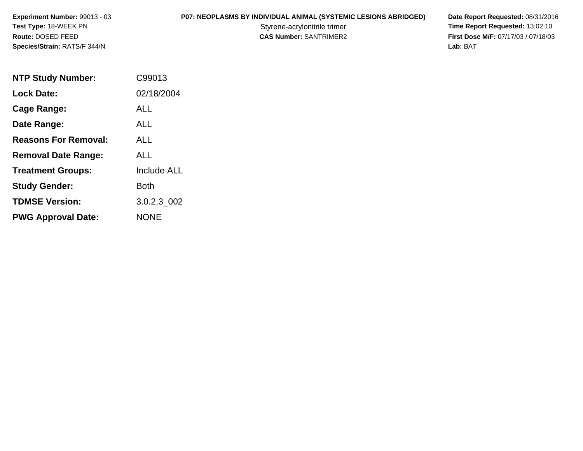**P07: NEOPLASMS BY INDIVIDUAL ANIMAL (SYSTEMIC LESIONS ABRIDGED) Date Report Requested: 08/31/2016<br>Styrene-acrylonitrile trimer <b>Time Report Requested: 13:02:10** Styrene-acrylonitrile trimer<br>
CAS Number: SANTRIMER2<br>
CAS Number: SANTRIMER2<br>
Tirst Dose M/F: 07/17/03 / 07/18/03 **First Dose M/F:** 07/17/03 / 07/18/03<br>Lab: BAT **Lab:** BAT

| <b>NTP Study Number:</b>    | C99013             |
|-----------------------------|--------------------|
| <b>Lock Date:</b>           | 02/18/2004         |
| Cage Range:                 | ALL                |
| Date Range:                 | <b>ALL</b>         |
| <b>Reasons For Removal:</b> | ALL                |
| <b>Removal Date Range:</b>  | ALL                |
| <b>Treatment Groups:</b>    | <b>Include ALL</b> |
| <b>Study Gender:</b>        | Both               |
| <b>TDMSE Version:</b>       | 3.0.2.3 002        |
| <b>PWG Approval Date:</b>   | <b>NONE</b>        |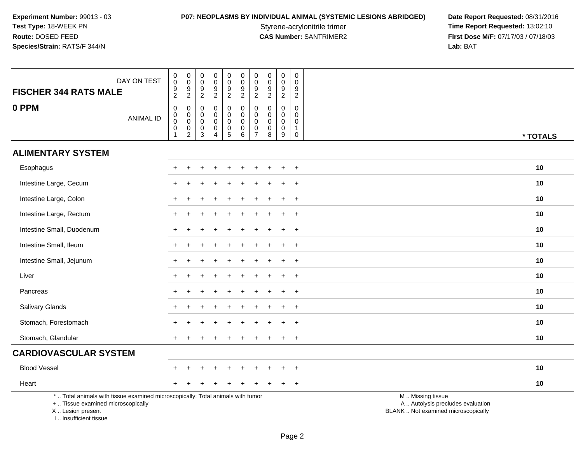# **P07: NEOPLASMS BY INDIVIDUAL ANIMAL (SYSTEMIC LESIONS ABRIDGED) Date Report Requested: 08/31/2016<br>Styrene-acrylonitrile trimer <b>Time Report Requested: 13:02:10**

Styrene-acrylonitrile trimer<br>
CAS Number: SANTRIMER2<br>
CAS Number: SANTRIMER2<br>
Tirst Dose M/F: 07/17/03 / 07/18/03 **First Dose M/F:** 07/17/03 / 07/18/03<br>Lab: BAT **Lab:** BAT

| DAY ON TEST<br><b>FISCHER 344 RATS MALE</b>                                                                                                                        | $_{\rm 0}^{\rm 0}$<br>$\frac{9}{2}$                             | $\mathsf{O}\xspace$<br>$\overline{0}$<br>$\frac{9}{2}$     | 0<br>$\mathbf 0$<br>$\boldsymbol{9}$<br>$\overline{2}$      | $\mathsf 0$<br>$\mathbf 0$<br>$\boldsymbol{9}$<br>$\overline{2}$           | $\pmb{0}$<br>$\ddot{\mathbf{0}}$<br>$\boldsymbol{9}$<br>$\overline{a}$ | $\begin{smallmatrix} 0\\0 \end{smallmatrix}$<br>$\frac{9}{2}$ | $\mathbf 0$<br>$\overline{0}$<br>$9\,$<br>$\overline{c}$                   | 0<br>0<br>$\boldsymbol{9}$<br>$\overline{2}$      | $_{\rm 0}^{\rm 0}$<br>$\frac{9}{2}$                     | 0<br>$\mathbf 0$<br>9<br>2                                            |                                                                                               |
|--------------------------------------------------------------------------------------------------------------------------------------------------------------------|-----------------------------------------------------------------|------------------------------------------------------------|-------------------------------------------------------------|----------------------------------------------------------------------------|------------------------------------------------------------------------|---------------------------------------------------------------|----------------------------------------------------------------------------|---------------------------------------------------|---------------------------------------------------------|-----------------------------------------------------------------------|-----------------------------------------------------------------------------------------------|
| 0 PPM<br><b>ANIMAL ID</b>                                                                                                                                          | $\pmb{0}$<br>$\overline{0}$<br>0<br>$\mathbf 0$<br>$\mathbf{1}$ | $\pmb{0}$<br>$\overline{0}$<br>$\pmb{0}$<br>$\overline{2}$ | $\mathbf 0$<br>$\mathbf 0$<br>$\mathbf 0$<br>$\pmb{0}$<br>3 | $\mathbf 0$<br>$\mathbf 0$<br>$\mathbf 0$<br>$\mathbf 0$<br>$\overline{4}$ | 0<br>0<br>$\mathbf 0$<br>$\pmb{0}$<br>5                                | $\pmb{0}$<br>$\overline{0}$<br>$\pmb{0}$<br>6                 | $\mathbf 0$<br>$\mathbf 0$<br>$\mathbf 0$<br>$\mathbf 0$<br>$\overline{7}$ | $\mathbf 0$<br>$\mathbf 0$<br>0<br>$\pmb{0}$<br>8 | $\pmb{0}$<br>$\pmb{0}$<br>$\mathbf 0$<br>$\pmb{0}$<br>9 | $\mathbf 0$<br>$\mathbf 0$<br>$\Omega$<br>$\mathbf{1}$<br>$\mathbf 0$ | * TOTALS                                                                                      |
| <b>ALIMENTARY SYSTEM</b>                                                                                                                                           |                                                                 |                                                            |                                                             |                                                                            |                                                                        |                                                               |                                                                            |                                                   |                                                         |                                                                       |                                                                                               |
| Esophagus                                                                                                                                                          |                                                                 |                                                            |                                                             |                                                                            |                                                                        |                                                               |                                                                            |                                                   |                                                         | $\ddot{}$                                                             | 10                                                                                            |
| Intestine Large, Cecum                                                                                                                                             |                                                                 |                                                            |                                                             |                                                                            |                                                                        |                                                               |                                                                            |                                                   |                                                         |                                                                       | 10                                                                                            |
| Intestine Large, Colon                                                                                                                                             |                                                                 |                                                            |                                                             |                                                                            |                                                                        |                                                               |                                                                            |                                                   |                                                         | $\overline{+}$                                                        | 10                                                                                            |
| Intestine Large, Rectum                                                                                                                                            | $\pm$                                                           |                                                            |                                                             |                                                                            |                                                                        |                                                               |                                                                            |                                                   | $\ddot{}$                                               | $+$                                                                   | 10                                                                                            |
| Intestine Small, Duodenum                                                                                                                                          |                                                                 |                                                            |                                                             |                                                                            |                                                                        |                                                               |                                                                            |                                                   |                                                         | $\div$                                                                | 10                                                                                            |
| Intestine Small, Ileum                                                                                                                                             |                                                                 |                                                            |                                                             |                                                                            |                                                                        |                                                               |                                                                            |                                                   |                                                         | $\div$                                                                | 10                                                                                            |
| Intestine Small, Jejunum                                                                                                                                           |                                                                 |                                                            |                                                             |                                                                            |                                                                        |                                                               |                                                                            |                                                   |                                                         | $+$                                                                   | 10                                                                                            |
| Liver                                                                                                                                                              |                                                                 |                                                            |                                                             |                                                                            |                                                                        |                                                               |                                                                            |                                                   |                                                         | $\div$                                                                | 10                                                                                            |
| Pancreas                                                                                                                                                           |                                                                 |                                                            |                                                             |                                                                            |                                                                        |                                                               |                                                                            |                                                   |                                                         | $\div$                                                                | 10                                                                                            |
| Salivary Glands                                                                                                                                                    | $+$                                                             |                                                            |                                                             |                                                                            |                                                                        |                                                               |                                                                            |                                                   |                                                         | $+$                                                                   | 10                                                                                            |
| Stomach, Forestomach                                                                                                                                               |                                                                 |                                                            |                                                             |                                                                            |                                                                        |                                                               |                                                                            |                                                   |                                                         | $\overline{+}$                                                        | 10                                                                                            |
| Stomach, Glandular                                                                                                                                                 |                                                                 |                                                            |                                                             |                                                                            |                                                                        |                                                               |                                                                            |                                                   |                                                         | $+$                                                                   | 10                                                                                            |
| <b>CARDIOVASCULAR SYSTEM</b>                                                                                                                                       |                                                                 |                                                            |                                                             |                                                                            |                                                                        |                                                               |                                                                            |                                                   |                                                         |                                                                       |                                                                                               |
| <b>Blood Vessel</b>                                                                                                                                                |                                                                 |                                                            |                                                             |                                                                            |                                                                        |                                                               |                                                                            |                                                   |                                                         | $\overline{+}$                                                        | 10                                                                                            |
| Heart                                                                                                                                                              |                                                                 |                                                            |                                                             |                                                                            |                                                                        |                                                               |                                                                            |                                                   |                                                         | $\ddot{}$                                                             | 10                                                                                            |
| *  Total animals with tissue examined microscopically; Total animals with tumor<br>+  Tissue examined microscopically<br>X Lesion present<br>I Insufficient tissue |                                                                 |                                                            |                                                             |                                                                            |                                                                        |                                                               |                                                                            |                                                   |                                                         |                                                                       | M  Missing tissue<br>A  Autolysis precludes evaluation<br>BLANK  Not examined microscopically |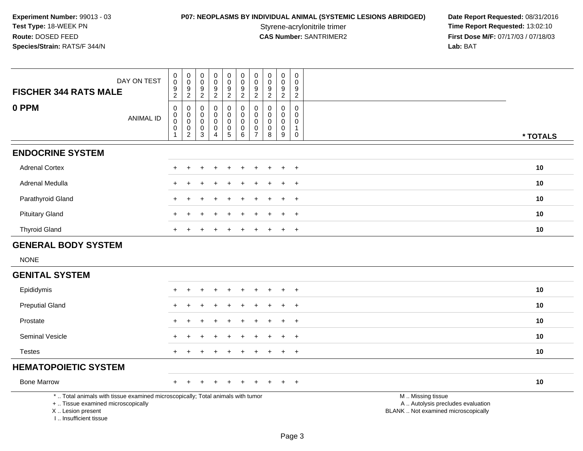**P07: NEOPLASMS BY INDIVIDUAL ANIMAL (SYSTEMIC LESIONS ABRIDGED) Date Report Requested: 08/31/2016<br>Styrene-acrylonitrile trimer <b>Time Report Requested: 13:02:10** Styrene-acrylonitrile trimer<br>
CAS Number: SANTRIMER2<br>
CAS Number: SANTRIMER2<br>
Tirst Dose M/F: 07/17/03 / 07/18/03 **First Dose M/F:** 07/17/03 / 07/18/03<br>Lab: BAT **Lab:** BAT

| DAY ON TEST<br><b>FISCHER 344 RATS MALE</b>                                                                                                                         | 0<br>$\mathbf 0$<br>$\frac{9}{2}$                                        | $_{\rm 0}^{\rm 0}$<br>$\frac{9}{2}$                                    | $\mathbf 0$<br>$\mathbf 0$<br>$\frac{9}{2}$                   | 0<br>$\mathbf 0$<br>$\boldsymbol{9}$<br>$\overline{2}$        | $\pmb{0}$<br>$\pmb{0}$<br>$\frac{9}{2}$                   | 0<br>$\mathbf 0$<br>$\frac{9}{2}$ | $\pmb{0}$<br>$\mathbf 0$<br>$\frac{9}{2}$                        | 0<br>$\mathbf 0$<br>$\frac{9}{2}$       | $\pmb{0}$<br>$\pmb{0}$<br>$\frac{9}{2}$         | $\pmb{0}$<br>$\mathbf 0$<br>$\boldsymbol{9}$<br>$\overline{2}$           |                                                                                               |          |
|---------------------------------------------------------------------------------------------------------------------------------------------------------------------|--------------------------------------------------------------------------|------------------------------------------------------------------------|---------------------------------------------------------------|---------------------------------------------------------------|-----------------------------------------------------------|-----------------------------------|------------------------------------------------------------------|-----------------------------------------|-------------------------------------------------|--------------------------------------------------------------------------|-----------------------------------------------------------------------------------------------|----------|
| 0 PPM<br><b>ANIMAL ID</b>                                                                                                                                           | $\mathsf{O}\xspace$<br>$_{\rm 0}^{\rm 0}$<br>$\pmb{0}$<br>$\overline{1}$ | $\mathbf 0$<br>$\pmb{0}$<br>$\mathbf 0$<br>$\pmb{0}$<br>$\overline{2}$ | $\mathbf 0$<br>$\mathbf 0$<br>$\mathbf 0$<br>$\mathbf 0$<br>3 | $\mathbf 0$<br>$\mathbf 0$<br>$\mathbf 0$<br>$\mathbf 0$<br>4 | $\mathbf 0$<br>$\mathbf 0$<br>$\pmb{0}$<br>$\pmb{0}$<br>5 | 0<br>0<br>0<br>$\pmb{0}$<br>6     | $\mathbf 0$<br>0<br>$\mathbf 0$<br>$\mathbf 0$<br>$\overline{7}$ | $\mathbf 0$<br>0<br>0<br>$\pmb{0}$<br>8 | $\mathbf 0$<br>0<br>$\pmb{0}$<br>$\pmb{0}$<br>9 | $\mathbf 0$<br>$\mathbf 0$<br>$\mathbf 0$<br>$\mathbf{1}$<br>$\mathbf 0$ |                                                                                               | * TOTALS |
| <b>ENDOCRINE SYSTEM</b>                                                                                                                                             |                                                                          |                                                                        |                                                               |                                                               |                                                           |                                   |                                                                  |                                         |                                                 |                                                                          |                                                                                               |          |
| <b>Adrenal Cortex</b>                                                                                                                                               | $+$                                                                      | $\ddot{}$                                                              | $\div$                                                        | $\div$                                                        | $\ddot{}$                                                 |                                   | $\ddot{}$                                                        | $\ddot{}$                               | $\ddot{}$                                       | $+$                                                                      |                                                                                               | 10       |
| Adrenal Medulla                                                                                                                                                     |                                                                          |                                                                        |                                                               |                                                               |                                                           |                                   |                                                                  |                                         |                                                 | $\ddot{}$                                                                |                                                                                               | 10       |
| Parathyroid Gland                                                                                                                                                   |                                                                          |                                                                        |                                                               |                                                               |                                                           |                                   |                                                                  |                                         |                                                 | $\overline{+}$                                                           |                                                                                               | 10       |
| <b>Pituitary Gland</b>                                                                                                                                              | $\pm$                                                                    |                                                                        |                                                               |                                                               |                                                           |                                   |                                                                  |                                         | $\ddot{}$                                       | $+$                                                                      |                                                                                               | 10       |
| <b>Thyroid Gland</b>                                                                                                                                                | $+$                                                                      |                                                                        |                                                               |                                                               |                                                           |                                   | $\div$                                                           | $\div$                                  | $\ddot{}$                                       | $+$                                                                      |                                                                                               | 10       |
| <b>GENERAL BODY SYSTEM</b>                                                                                                                                          |                                                                          |                                                                        |                                                               |                                                               |                                                           |                                   |                                                                  |                                         |                                                 |                                                                          |                                                                                               |          |
| <b>NONE</b>                                                                                                                                                         |                                                                          |                                                                        |                                                               |                                                               |                                                           |                                   |                                                                  |                                         |                                                 |                                                                          |                                                                                               |          |
| <b>GENITAL SYSTEM</b>                                                                                                                                               |                                                                          |                                                                        |                                                               |                                                               |                                                           |                                   |                                                                  |                                         |                                                 |                                                                          |                                                                                               |          |
| Epididymis                                                                                                                                                          | $+$                                                                      | $\ddot{}$                                                              | ÷                                                             | $\div$                                                        | $\ddot{}$                                                 |                                   | $\ddot{}$                                                        | $\ddot{}$                               | $\ddot{}$                                       | $+$                                                                      |                                                                                               | 10       |
| <b>Preputial Gland</b>                                                                                                                                              |                                                                          |                                                                        |                                                               |                                                               |                                                           |                                   |                                                                  |                                         |                                                 | $\overline{1}$                                                           |                                                                                               | 10       |
| Prostate                                                                                                                                                            |                                                                          |                                                                        |                                                               |                                                               |                                                           |                                   |                                                                  |                                         |                                                 | $\ddot{}$                                                                |                                                                                               | 10       |
| Seminal Vesicle                                                                                                                                                     |                                                                          |                                                                        |                                                               |                                                               |                                                           |                                   |                                                                  |                                         | $\div$                                          | $+$                                                                      |                                                                                               | 10       |
| <b>Testes</b>                                                                                                                                                       | $+$                                                                      |                                                                        |                                                               |                                                               |                                                           |                                   |                                                                  |                                         | $\ddot{}$                                       | $+$                                                                      |                                                                                               | 10       |
| <b>HEMATOPOIETIC SYSTEM</b>                                                                                                                                         |                                                                          |                                                                        |                                                               |                                                               |                                                           |                                   |                                                                  |                                         |                                                 |                                                                          |                                                                                               |          |
| <b>Bone Marrow</b>                                                                                                                                                  | $+$                                                                      |                                                                        |                                                               |                                                               |                                                           |                                   |                                                                  |                                         |                                                 | $+$                                                                      |                                                                                               | 10       |
| *  Total animals with tissue examined microscopically; Total animals with tumor<br>+  Tissue examined microscopically<br>X  Lesion present<br>I Insufficient tissue |                                                                          |                                                                        |                                                               |                                                               |                                                           |                                   |                                                                  |                                         |                                                 |                                                                          | M  Missing tissue<br>A  Autolysis precludes evaluation<br>BLANK  Not examined microscopically |          |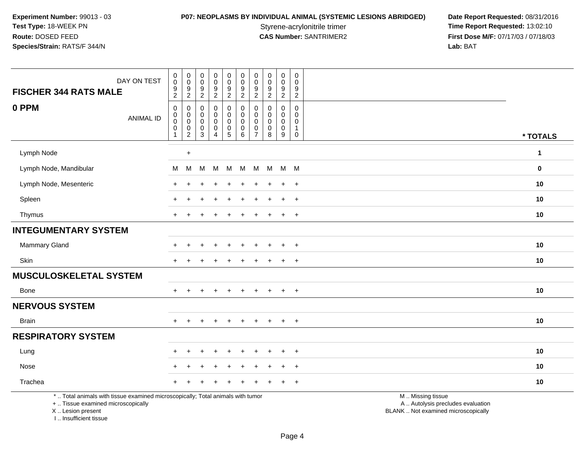**P07: NEOPLASMS BY INDIVIDUAL ANIMAL (SYSTEMIC LESIONS ABRIDGED) Date Report Requested: 08/31/2016<br>Styrene-acrylonitrile trimer <b>Time Report Requested: 13:02:10** Styrene-acrylonitrile trimer<br>
CAS Number: SANTRIMER2<br>
CAS Number: SANTRIMER2<br>
Tirst Dose M/F: 07/17/03 / 07/18/03 **First Dose M/F:** 07/17/03 / 07/18/03<br>Lab: BAT **Lab:** BAT

| DAY ON TEST<br><b>FISCHER 344 RATS MALE</b>                                                                                                | $_{\rm 0}^{\rm 0}$<br>$\boldsymbol{9}$<br>$\overline{2}$   | $\pmb{0}$<br>$\mathbf 0$<br>$\boldsymbol{9}$<br>$\boldsymbol{2}$      | $\mathbf 0$<br>$\mathbf 0$<br>$\boldsymbol{9}$<br>$\overline{c}$ | $\pmb{0}$<br>$\pmb{0}$<br>$\boldsymbol{9}$<br>$\overline{a}$ | $\pmb{0}$<br>$\mathbf 0$<br>$\boldsymbol{9}$<br>$\overline{c}$ | $\mathbf 0$<br>$\pmb{0}$<br>$\boldsymbol{9}$<br>$\overline{2}$ | $\pmb{0}$<br>$\pmb{0}$<br>$\boldsymbol{9}$<br>$\boldsymbol{2}$ | $\mathbf 0$<br>$\mathbf 0$<br>$\boldsymbol{9}$<br>$\overline{c}$ | 0<br>$\mathbf 0$<br>9<br>$\overline{2}$                          | $\,0\,$<br>$\Omega$<br>$\boldsymbol{9}$<br>$\overline{2}$      |                                                                                               |              |
|--------------------------------------------------------------------------------------------------------------------------------------------|------------------------------------------------------------|-----------------------------------------------------------------------|------------------------------------------------------------------|--------------------------------------------------------------|----------------------------------------------------------------|----------------------------------------------------------------|----------------------------------------------------------------|------------------------------------------------------------------|------------------------------------------------------------------|----------------------------------------------------------------|-----------------------------------------------------------------------------------------------|--------------|
| 0 PPM<br><b>ANIMAL ID</b>                                                                                                                  | $\pmb{0}$<br>$\pmb{0}$<br>$\mathsf 0$<br>0<br>$\mathbf{1}$ | 0<br>0<br>$\mathsf 0$<br>$\begin{smallmatrix} 0\\2 \end{smallmatrix}$ | $\Omega$<br>0<br>$\mathbf 0$<br>$\pmb{0}$<br>3                   | 0<br>0<br>$\mathbf 0$<br>$\pmb{0}$<br>$\overline{4}$         | 0<br>0<br>$\mathbf 0$<br>$\begin{matrix}0\\5\end{matrix}$      | 0<br>0<br>0<br>$\begin{array}{c} 0 \\ 6 \end{array}$           | 0<br>0<br>$\mathbf 0$<br>$\pmb{0}$<br>$\overline{7}$           | $\Omega$<br>$\mathbf 0$<br>$\mathbf 0$<br>$\mathbf 0$<br>8       | 0<br>$\mathbf 0$<br>$\mathbf 0$<br>$\mathbf 0$<br>$\overline{9}$ | 0<br>$\mathbf 0$<br>$\mathbf 0$<br>$\mathbf{1}$<br>$\mathbf 0$ |                                                                                               | * TOTALS     |
| Lymph Node                                                                                                                                 |                                                            | $\ddot{}$                                                             |                                                                  |                                                              |                                                                |                                                                |                                                                |                                                                  |                                                                  |                                                                |                                                                                               | $\mathbf{1}$ |
| Lymph Node, Mandibular                                                                                                                     | м                                                          | M                                                                     | M                                                                | M                                                            | M                                                              | M                                                              | M                                                              | M                                                                | $M$ M                                                            |                                                                |                                                                                               | $\bf{0}$     |
| Lymph Node, Mesenteric                                                                                                                     |                                                            |                                                                       |                                                                  |                                                              |                                                                |                                                                |                                                                |                                                                  | $\ddot{}$                                                        | $+$                                                            |                                                                                               | 10           |
| Spleen                                                                                                                                     |                                                            |                                                                       |                                                                  |                                                              |                                                                |                                                                |                                                                |                                                                  | $\pm$                                                            | $\ddot{}$                                                      |                                                                                               | 10           |
| Thymus                                                                                                                                     | $\ddot{}$                                                  |                                                                       |                                                                  |                                                              |                                                                |                                                                |                                                                |                                                                  | $\ddot{}$                                                        | $+$                                                            |                                                                                               | 10           |
| <b>INTEGUMENTARY SYSTEM</b>                                                                                                                |                                                            |                                                                       |                                                                  |                                                              |                                                                |                                                                |                                                                |                                                                  |                                                                  |                                                                |                                                                                               |              |
| Mammary Gland                                                                                                                              |                                                            |                                                                       |                                                                  |                                                              |                                                                |                                                                |                                                                |                                                                  |                                                                  |                                                                |                                                                                               | 10           |
| Skin                                                                                                                                       |                                                            |                                                                       |                                                                  |                                                              |                                                                |                                                                |                                                                |                                                                  | $\ddot{}$                                                        | $^{+}$                                                         |                                                                                               | 10           |
| <b>MUSCULOSKELETAL SYSTEM</b>                                                                                                              |                                                            |                                                                       |                                                                  |                                                              |                                                                |                                                                |                                                                |                                                                  |                                                                  |                                                                |                                                                                               |              |
| Bone                                                                                                                                       |                                                            |                                                                       |                                                                  |                                                              |                                                                |                                                                |                                                                |                                                                  | $\ddot{}$                                                        | $\overline{+}$                                                 |                                                                                               | 10           |
| <b>NERVOUS SYSTEM</b>                                                                                                                      |                                                            |                                                                       |                                                                  |                                                              |                                                                |                                                                |                                                                |                                                                  |                                                                  |                                                                |                                                                                               |              |
| <b>Brain</b>                                                                                                                               | $+$                                                        | $+$                                                                   | $\pm$                                                            | $+$                                                          | $+$                                                            | $+$                                                            | $+$                                                            | $+$                                                              | $+$                                                              | $+$                                                            |                                                                                               | 10           |
| <b>RESPIRATORY SYSTEM</b>                                                                                                                  |                                                            |                                                                       |                                                                  |                                                              |                                                                |                                                                |                                                                |                                                                  |                                                                  |                                                                |                                                                                               |              |
| Lung                                                                                                                                       |                                                            |                                                                       |                                                                  |                                                              |                                                                |                                                                |                                                                |                                                                  | ÷                                                                | $\ddot{}$                                                      |                                                                                               | 10           |
| Nose                                                                                                                                       |                                                            |                                                                       |                                                                  |                                                              |                                                                |                                                                |                                                                |                                                                  | ÷                                                                | $\overline{+}$                                                 |                                                                                               | 10           |
| Trachea                                                                                                                                    |                                                            |                                                                       |                                                                  |                                                              |                                                                |                                                                |                                                                |                                                                  |                                                                  | $\overline{+}$                                                 |                                                                                               | 10           |
| *  Total animals with tissue examined microscopically; Total animals with tumor<br>+  Tissue examined microscopically<br>X  Lesion present |                                                            |                                                                       |                                                                  |                                                              |                                                                |                                                                |                                                                |                                                                  |                                                                  |                                                                | M  Missing tissue<br>A  Autolysis precludes evaluation<br>BLANK  Not examined microscopically |              |

I .. Insufficient tissue

Page 4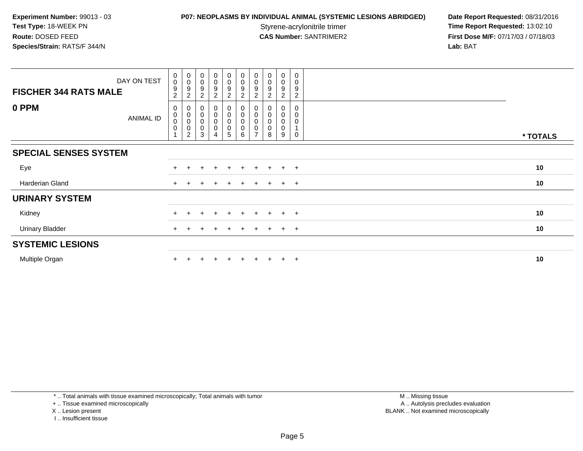## **P07: NEOPLASMS BY INDIVIDUAL ANIMAL (SYSTEMIC LESIONS ABRIDGED) Date Report Requested: 08/31/2016<br>Styrene-acrylonitrile trimer <b>Time Report Requested: 13:02:10**

Styrene-acrylonitrile trimer<br>
CAS Number: SANTRIMER2<br> **CAS Number:** SANTRIMER2<br> **Time Report Requested:** 13:02:10 **First Dose M/F:** 07/17/03 / 07/18/03<br>Lab: BAT **Lab:** BAT

| DAY ON TEST<br><b>FISCHER 344 RATS MALE</b> | $\boldsymbol{0}$<br>$\boldsymbol{0}$<br>9<br>$\overline{c}$ | $\boldsymbol{0}$<br>$\boldsymbol{0}$<br>9<br>2 | $_{\rm 0}^{\rm 0}$<br>$\boldsymbol{9}$<br>$\boldsymbol{2}$                | $\begin{smallmatrix} 0\\0 \end{smallmatrix}$<br>$\boldsymbol{9}$<br>$\overline{c}$ | $\begin{array}{c} 0 \\ 0 \\ 9 \\ 2 \end{array}$             | $\begin{smallmatrix} 0\\0 \end{smallmatrix}$<br>$\overline{9}$<br>$\overline{2}$ | $\mathbf 0$<br>$\mathbf 0$<br>9<br>ົ | $_{\rm 0}^{\rm 0}$<br>9 | $\pmb{0}$<br>$\pmb{0}$<br>$\boldsymbol{9}$<br>2 | $\mathbf 0$<br>$\mathbf 0$<br>9<br>$\overline{2}$ |          |
|---------------------------------------------|-------------------------------------------------------------|------------------------------------------------|---------------------------------------------------------------------------|------------------------------------------------------------------------------------|-------------------------------------------------------------|----------------------------------------------------------------------------------|--------------------------------------|-------------------------|-------------------------------------------------|---------------------------------------------------|----------|
| 0 PPM<br>ANIMAL ID                          | 0<br>$\pmb{0}$<br>$\pmb{0}$<br>$\pmb{0}$                    | 0<br>$\pmb{0}$<br>$\pmb{0}$<br>0<br>2          | $\boldsymbol{0}$<br>$\pmb{0}$<br>$\mathbf 0$<br>$\pmb{0}$<br>$\mathbf{3}$ | 0<br>$\mathsf 0$<br>0<br>0<br>4                                                    | $\begin{smallmatrix}0\0\0\0\end{smallmatrix}$<br>$\sqrt{5}$ | 0<br>$\overline{0}$<br>$\pmb{0}$<br>6                                            | $\pmb{0}$<br>$\pmb{0}$<br>$\pmb{0}$  | 0<br>8                  | 0<br>0<br>0<br>9                                | 0<br>0<br>0<br>$\mathbf 0$                        | * TOTALS |
| <b>SPECIAL SENSES SYSTEM</b>                |                                                             |                                                |                                                                           |                                                                                    |                                                             |                                                                                  |                                      |                         |                                                 |                                                   |          |
| Eye                                         | $+$                                                         |                                                |                                                                           |                                                                                    |                                                             |                                                                                  |                                      |                         | $+$                                             | $+$                                               | 10       |
| Harderian Gland                             | $+$                                                         |                                                |                                                                           | $\div$                                                                             | $\pm$                                                       | $+$                                                                              | $\pm$                                | $+$                     | $+$ $+$                                         |                                                   | 10       |
| <b>URINARY SYSTEM</b>                       |                                                             |                                                |                                                                           |                                                                                    |                                                             |                                                                                  |                                      |                         |                                                 |                                                   |          |
| Kidney                                      |                                                             |                                                |                                                                           |                                                                                    |                                                             |                                                                                  |                                      |                         | $+$                                             | $+$                                               | 10       |
| <b>Urinary Bladder</b>                      |                                                             |                                                |                                                                           |                                                                                    |                                                             |                                                                                  |                                      |                         | $+$                                             | $+$                                               | 10       |
| <b>SYSTEMIC LESIONS</b>                     |                                                             |                                                |                                                                           |                                                                                    |                                                             |                                                                                  |                                      |                         |                                                 |                                                   |          |
| Multiple Organ                              |                                                             |                                                |                                                                           |                                                                                    | $\div$                                                      | $+$                                                                              |                                      |                         | $+$                                             | $+$                                               | 10       |

\* .. Total animals with tissue examined microscopically; Total animals with tumor

+ .. Tissue examined microscopically

X .. Lesion present

I .. Insufficient tissue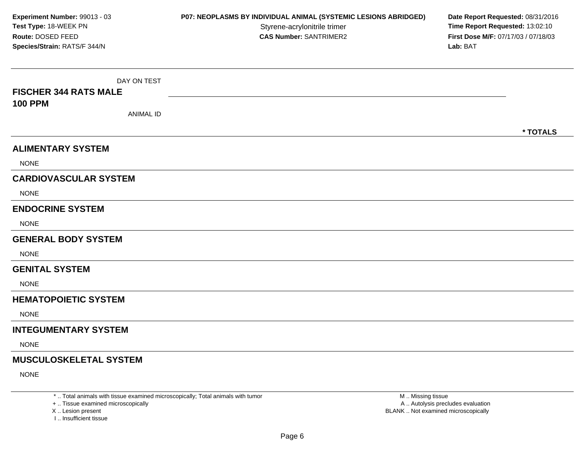| Experiment Number: 99013 - 03<br>Test Type: 18-WEEK PN<br>Route: DOSED FEED<br>Species/Strain: RATS/F 344/N | P07: NEOPLASMS BY INDIVIDUAL ANIMAL (SYSTEMIC LESIONS ABRIDGED)<br>Styrene-acrylonitrile trimer<br><b>CAS Number: SANTRIMER2</b> | Date Report Requested: 08/31/2016<br>Time Report Requested: 13:02:10<br>First Dose M/F: 07/17/03 / 07/18/03<br>Lab: BAT |
|-------------------------------------------------------------------------------------------------------------|----------------------------------------------------------------------------------------------------------------------------------|-------------------------------------------------------------------------------------------------------------------------|
| DAY ON TEST<br><b>FISCHER 344 RATS MALE</b><br><b>100 PPM</b><br><b>ANIMAL ID</b>                           |                                                                                                                                  | * TOTALS                                                                                                                |
| <b>ALIMENTARY SYSTEM</b><br><b>NONE</b>                                                                     |                                                                                                                                  |                                                                                                                         |
| <b>CARDIOVASCULAR SYSTEM</b><br><b>NONE</b>                                                                 |                                                                                                                                  |                                                                                                                         |
| <b>ENDOCRINE SYSTEM</b><br><b>NONE</b>                                                                      |                                                                                                                                  |                                                                                                                         |
| <b>GENERAL BODY SYSTEM</b><br><b>NONE</b>                                                                   |                                                                                                                                  |                                                                                                                         |
| <b>GENITAL SYSTEM</b><br><b>NONE</b>                                                                        |                                                                                                                                  |                                                                                                                         |
| <b>HEMATOPOIETIC SYSTEM</b><br><b>NONE</b>                                                                  |                                                                                                                                  |                                                                                                                         |
| <b>INTEGUMENTARY SYSTEM</b><br><b>NONE</b>                                                                  |                                                                                                                                  |                                                                                                                         |
| <b>MUSCULOSKELETAL SYSTEM</b><br><b>NONE</b>                                                                |                                                                                                                                  |                                                                                                                         |

\* .. Total animals with tissue examined microscopically; Total animals with tumor

+ .. Tissue examined microscopically<br>X .. Lesion present

I .. Insufficient tissue

 M .. Missing tissueA .. Autolysis precludes evaluation Lesion present BLANK .. Not examined microscopically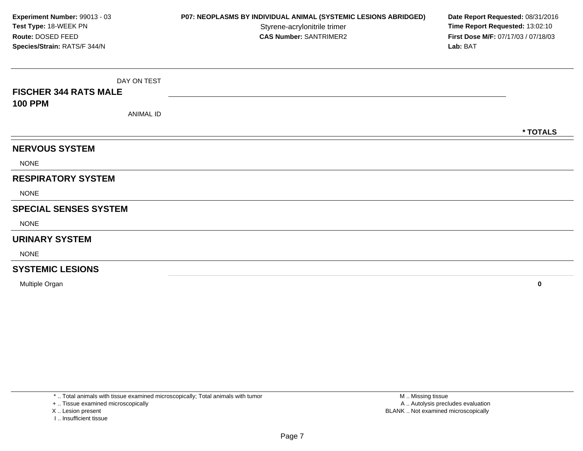DAY ON TEST**FISCHER 344 RATS MALE100 PPM**ANIMAL ID**\* TOTALSNERVOUS SYSTEM**NONE**RESPIRATORY SYSTEM**NONE**SPECIAL SENSES SYSTEM**NONE**URINARY SYSTEM**NONE**SYSTEMIC LESIONSExperiment Number:** 99013 - 03**P07: NEOPLASMS BY INDIVIDUAL ANIMAL (SYSTEMIC LESIONS ABRIDGED) Date Report Requested: 08/31/2016<br>Styrene-acrylonitrile trimer <b>Time Report Requested: 13:02:10 Test Type:** 18-WEEK PNStyrene-acrylonitrile trimer<br>
CAS Number: SANTRIMER2<br> **CAS Number:** SANTRIMER2<br> **Time Report Requested:** 13:02:10<br> **First Dose M/F:** 07/17/03 / 07/18/03 **Route:** DOSED FEED**First Dose M/F:** 07/17/03 / 07/18/03<br>**Lab:** BAT **Species/Strain:** RATS/F 344/N**Lab:** BAT

Multiple Organ**<sup>0</sup>**

\* .. Total animals with tissue examined microscopically; Total animals with tumor

+ .. Tissue examined microscopically

X .. Lesion present

I .. Insufficient tissue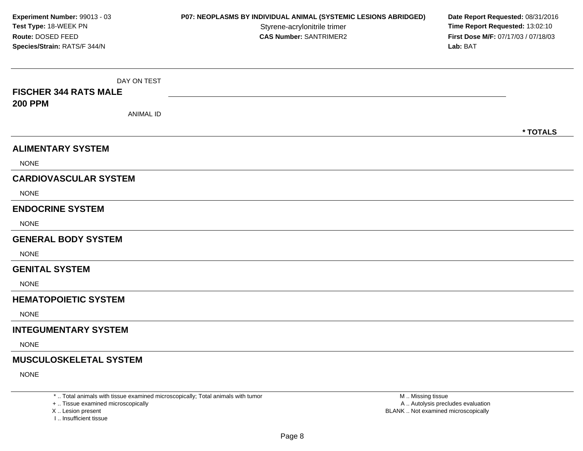| Experiment Number: 99013 - 03<br>Test Type: 18-WEEK PN<br>Route: DOSED FEED<br>Species/Strain: RATS/F 344/N | P07: NEOPLASMS BY INDIVIDUAL ANIMAL (SYSTEMIC LESIONS ABRIDGED)<br>Styrene-acrylonitrile trimer<br><b>CAS Number: SANTRIMER2</b> | Date Report Requested: 08/31/2016<br>Time Report Requested: 13:02:10<br>First Dose M/F: 07/17/03 / 07/18/03<br>Lab: BAT |
|-------------------------------------------------------------------------------------------------------------|----------------------------------------------------------------------------------------------------------------------------------|-------------------------------------------------------------------------------------------------------------------------|
| DAY ON TEST<br><b>FISCHER 344 RATS MALE</b><br><b>200 PPM</b><br><b>ANIMAL ID</b>                           |                                                                                                                                  | * TOTALS                                                                                                                |
| <b>ALIMENTARY SYSTEM</b><br><b>NONE</b>                                                                     |                                                                                                                                  |                                                                                                                         |
| <b>CARDIOVASCULAR SYSTEM</b><br><b>NONE</b>                                                                 |                                                                                                                                  |                                                                                                                         |
| <b>ENDOCRINE SYSTEM</b><br><b>NONE</b>                                                                      |                                                                                                                                  |                                                                                                                         |
| <b>GENERAL BODY SYSTEM</b><br><b>NONE</b>                                                                   |                                                                                                                                  |                                                                                                                         |
| <b>GENITAL SYSTEM</b><br><b>NONE</b>                                                                        |                                                                                                                                  |                                                                                                                         |
| <b>HEMATOPOIETIC SYSTEM</b><br><b>NONE</b>                                                                  |                                                                                                                                  |                                                                                                                         |
| <b>INTEGUMENTARY SYSTEM</b><br><b>NONE</b>                                                                  |                                                                                                                                  |                                                                                                                         |
| <b>MUSCULOSKELETAL SYSTEM</b><br><b>NONE</b>                                                                |                                                                                                                                  |                                                                                                                         |

\* .. Total animals with tissue examined microscopically; Total animals with tumor

+ .. Tissue examined microscopically<br>X .. Lesion present

I .. Insufficient tissue

 M .. Missing tissueA .. Autolysis precludes evaluation Lesion present BLANK .. Not examined microscopically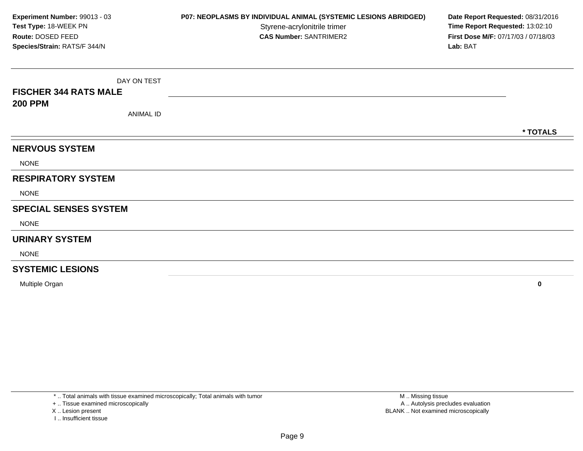DAY ON TEST**FISCHER 344 RATS MALE200 PPM**ANIMAL ID**\* TOTALSNERVOUS SYSTEM**NONE**RESPIRATORY SYSTEM**NONE**SPECIAL SENSES SYSTEM**NONE**URINARY SYSTEM**NONE**SYSTEMIC LESIONSExperiment Number:** 99013 - 03**P07: NEOPLASMS BY INDIVIDUAL ANIMAL (SYSTEMIC LESIONS ABRIDGED) Date Report Requested: 08/31/2016<br>Styrene-acrylonitrile trimer <b>Time Report Requested: 13:02:10 Test Type:** 18-WEEK PNStyrene-acrylonitrile trimer<br>
CAS Number: SANTRIMER2<br> **CAS Number:** SANTRIMER2<br> **Time Report Requested:** 13:02:10<br> **First Dose M/F:** 07/17/03 / 07/18/03 **Route:** DOSED FEED**First Dose M/F:** 07/17/03 / 07/18/03<br>**Lab:** BAT **Species/Strain:** RATS/F 344/N**Lab:** BAT

Multiple Organ**<sup>0</sup>**

\* .. Total animals with tissue examined microscopically; Total animals with tumor

+ .. Tissue examined microscopically

X .. Lesion present

I .. Insufficient tissue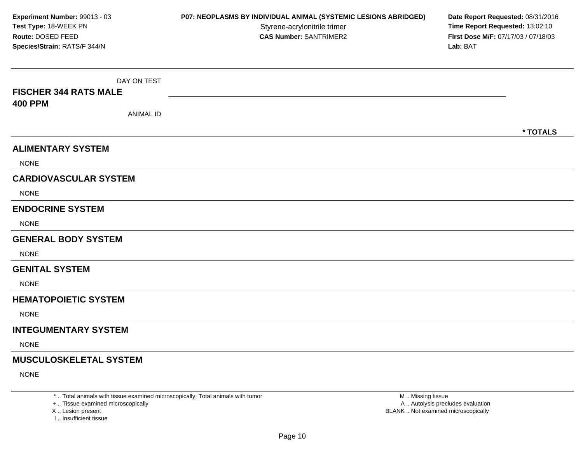| Experiment Number: 99013 - 03<br>Test Type: 18-WEEK PN<br>Route: DOSED FEED<br>Species/Strain: RATS/F 344/N | P07: NEOPLASMS BY INDIVIDUAL ANIMAL (SYSTEMIC LESIONS ABRIDGED)<br>Styrene-acrylonitrile trimer<br><b>CAS Number: SANTRIMER2</b> | Date Report Requested: 08/31/2016<br>Time Report Requested: 13:02:10<br>First Dose M/F: 07/17/03 / 07/18/03<br>Lab: BAT |
|-------------------------------------------------------------------------------------------------------------|----------------------------------------------------------------------------------------------------------------------------------|-------------------------------------------------------------------------------------------------------------------------|
| DAY ON TEST<br><b>FISCHER 344 RATS MALE</b><br><b>400 PPM</b><br><b>ANIMAL ID</b>                           |                                                                                                                                  | * TOTALS                                                                                                                |
| <b>ALIMENTARY SYSTEM</b><br><b>NONE</b>                                                                     |                                                                                                                                  |                                                                                                                         |
| <b>CARDIOVASCULAR SYSTEM</b><br><b>NONE</b>                                                                 |                                                                                                                                  |                                                                                                                         |
| <b>ENDOCRINE SYSTEM</b><br><b>NONE</b>                                                                      |                                                                                                                                  |                                                                                                                         |
| <b>GENERAL BODY SYSTEM</b><br><b>NONE</b>                                                                   |                                                                                                                                  |                                                                                                                         |
| <b>GENITAL SYSTEM</b><br><b>NONE</b>                                                                        |                                                                                                                                  |                                                                                                                         |
| <b>HEMATOPOIETIC SYSTEM</b><br><b>NONE</b>                                                                  |                                                                                                                                  |                                                                                                                         |
| <b>INTEGUMENTARY SYSTEM</b><br><b>NONE</b>                                                                  |                                                                                                                                  |                                                                                                                         |
| <b>MUSCULOSKELETAL SYSTEM</b><br><b>NONE</b>                                                                |                                                                                                                                  |                                                                                                                         |

\* .. Total animals with tissue examined microscopically; Total animals with tumor

+ .. Tissue examined microscopically

X ..

I .. Insufficient tissue

 M .. Missing tissueA .. Autolysis precludes evaluation Lesion present BLANK .. Not examined microscopically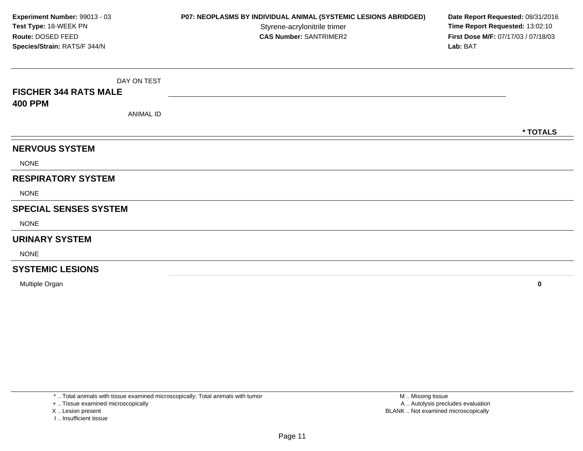DAY ON TEST**FISCHER 344 RATS MALE400 PPM**ANIMAL ID**\* TOTALSNERVOUS SYSTEM**NONE**RESPIRATORY SYSTEM**NONE**SPECIAL SENSES SYSTEM**NONE**URINARY SYSTEM**NONE**SYSTEMIC LESIONSExperiment Number:** 99013 - 03**P07: NEOPLASMS BY INDIVIDUAL ANIMAL (SYSTEMIC LESIONS ABRIDGED) Date Report Requested: 08/31/2016<br>Styrene-acrylonitrile trimer <b>Time Report Requested: 13:02:10 Test Type:** 18-WEEK PNStyrene-acrylonitrile trimer<br>
CAS Number: SANTRIMER2<br> **CAS Number:** SANTRIMER2<br> **Time Report Requested:** 13:02:10<br> **First Dose M/F:** 07/17/03 / 07/18/03 **Route:** DOSED FEED**First Dose M/F:** 07/17/03 / 07/18/03<br>**Lab:** BAT **Species/Strain:** RATS/F 344/N**Lab:** BAT

Multiple Organ**<sup>0</sup>**

\* .. Total animals with tissue examined microscopically; Total animals with tumor

+ .. Tissue examined microscopically

X .. Lesion present

I .. Insufficient tissue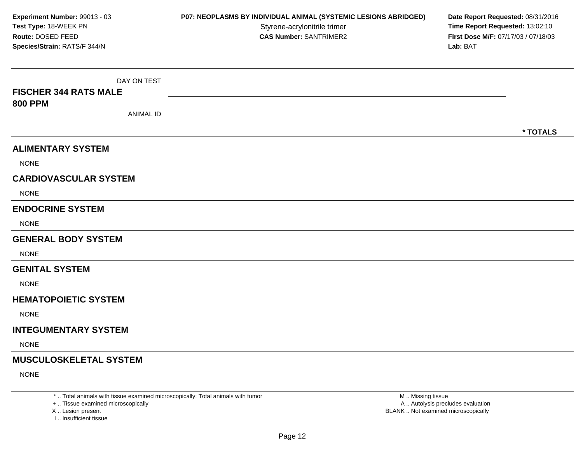| Experiment Number: 99013 - 03<br>Test Type: 18-WEEK PN<br>Route: DOSED FEED<br>Species/Strain: RATS/F 344/N | P07: NEOPLASMS BY INDIVIDUAL ANIMAL (SYSTEMIC LESIONS ABRIDGED)<br>Styrene-acrylonitrile trimer<br><b>CAS Number: SANTRIMER2</b> | Date Report Requested: 08/31/2016<br>Time Report Requested: 13:02:10<br>First Dose M/F: 07/17/03 / 07/18/03<br>Lab: BAT |
|-------------------------------------------------------------------------------------------------------------|----------------------------------------------------------------------------------------------------------------------------------|-------------------------------------------------------------------------------------------------------------------------|
| DAY ON TEST<br><b>FISCHER 344 RATS MALE</b><br><b>800 PPM</b><br><b>ANIMAL ID</b>                           |                                                                                                                                  | * TOTALS                                                                                                                |
| <b>ALIMENTARY SYSTEM</b><br><b>NONE</b>                                                                     |                                                                                                                                  |                                                                                                                         |
| <b>CARDIOVASCULAR SYSTEM</b><br><b>NONE</b>                                                                 |                                                                                                                                  |                                                                                                                         |
| <b>ENDOCRINE SYSTEM</b><br><b>NONE</b>                                                                      |                                                                                                                                  |                                                                                                                         |
| <b>GENERAL BODY SYSTEM</b><br><b>NONE</b>                                                                   |                                                                                                                                  |                                                                                                                         |
| <b>GENITAL SYSTEM</b><br><b>NONE</b>                                                                        |                                                                                                                                  |                                                                                                                         |
| <b>HEMATOPOIETIC SYSTEM</b><br><b>NONE</b>                                                                  |                                                                                                                                  |                                                                                                                         |
| <b>INTEGUMENTARY SYSTEM</b><br><b>NONE</b>                                                                  |                                                                                                                                  |                                                                                                                         |
| <b>MUSCULOSKELETAL SYSTEM</b><br><b>NONE</b>                                                                |                                                                                                                                  |                                                                                                                         |

\* .. Total animals with tissue examined microscopically; Total animals with tumor

+ .. Tissue examined microscopically

X ..

I .. Insufficient tissue

 M .. Missing tissueA .. Autolysis precludes evaluation Lesion present BLANK .. Not examined microscopically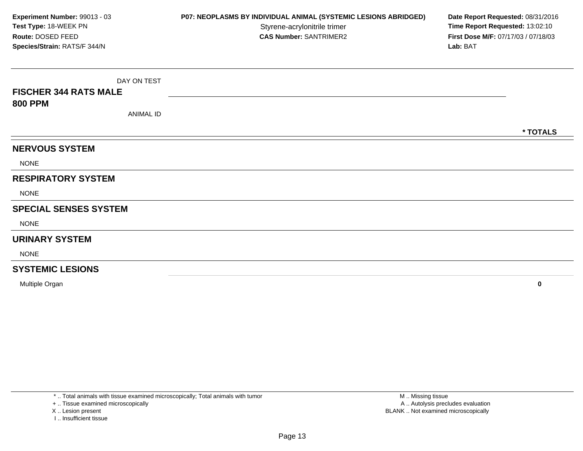DAY ON TEST**FISCHER 344 RATS MALE800 PPM**ANIMAL ID**\* TOTALSNERVOUS SYSTEM**NONE**RESPIRATORY SYSTEM**NONE**SPECIAL SENSES SYSTEM**NONE**URINARY SYSTEM**NONE**SYSTEMIC LESIONSExperiment Number:** 99013 - 03**P07: NEOPLASMS BY INDIVIDUAL ANIMAL (SYSTEMIC LESIONS ABRIDGED) Date Report Requested: 08/31/2016<br>Styrene-acrylonitrile trimer <b>Time Report Requested: 13:02:10 Test Type:** 18-WEEK PNStyrene-acrylonitrile trimer<br>
CAS Number: SANTRIMER2<br> **CAS Number:** SANTRIMER2<br> **Time Report Requested:** 13:02:10<br> **First Dose M/F:** 07/17/03 / 07/18/03 **Route:** DOSED FEED**First Dose M/F:** 07/17/03 / 07/18/03<br>**Lab:** BAT **Species/Strain:** RATS/F 344/N**Lab:** BAT

Multiple Organ**<sup>0</sup>**

\* .. Total animals with tissue examined microscopically; Total animals with tumor

+ .. Tissue examined microscopically

X .. Lesion present

I .. Insufficient tissue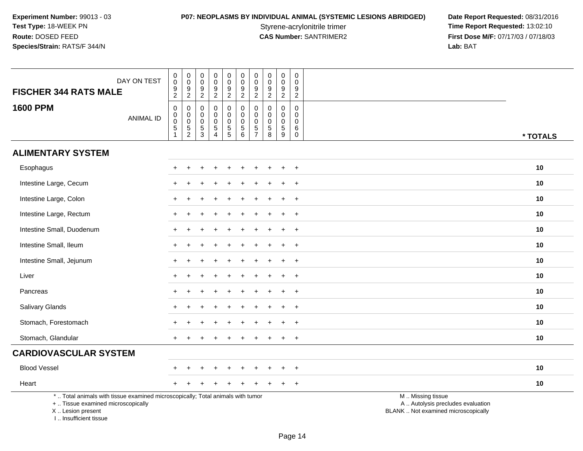**P07: NEOPLASMS BY INDIVIDUAL ANIMAL (SYSTEMIC LESIONS ABRIDGED) Date Report Requested: 08/31/2016<br>Styrene-acrylonitrile trimer <b>Time Report Requested: 13:02:10** Styrene-acrylonitrile trimer<br>
CAS Number: SANTRIMER2<br>
CAS Number: SANTRIMER2<br>
Tirst Dose M/F: 07/17/03 / 07/18/03 **First Dose M/F:** 07/17/03 / 07/18/03<br>Lab: BAT **Lab:** BAT

| DAY ON TEST<br><b>FISCHER 344 RATS MALE</b>                                                                                                                        | $\pmb{0}$<br>$\pmb{0}$<br>$\frac{9}{2}$                                             | $\pmb{0}$<br>$\mathbf 0$<br>$\frac{9}{2}$ | $\pmb{0}$<br>$\mathbf 0$<br>9<br>$\overline{2}$          | $\pmb{0}$<br>$\pmb{0}$<br>9<br>$\overline{2}$                     | $\pmb{0}$<br>$\pmb{0}$<br>$\boldsymbol{9}$<br>$\boldsymbol{2}$ | $\pmb{0}$<br>$\pmb{0}$<br>$\boldsymbol{9}$<br>$\overline{2}$     | $\pmb{0}$<br>$\pmb{0}$<br>9<br>$\overline{2}$                    | $\pmb{0}$<br>$\pmb{0}$<br>9<br>$\overline{2}$              | $\pmb{0}$<br>$\pmb{0}$<br>$\boldsymbol{9}$<br>$\overline{2}$           | 0<br>$\Omega$<br>9<br>$\overline{c}$                       |                                                                                               |
|--------------------------------------------------------------------------------------------------------------------------------------------------------------------|-------------------------------------------------------------------------------------|-------------------------------------------|----------------------------------------------------------|-------------------------------------------------------------------|----------------------------------------------------------------|------------------------------------------------------------------|------------------------------------------------------------------|------------------------------------------------------------|------------------------------------------------------------------------|------------------------------------------------------------|-----------------------------------------------------------------------------------------------|
| <b>1600 PPM</b><br><b>ANIMAL ID</b>                                                                                                                                | $\pmb{0}$<br>$\mathbf 0$<br>$\mathsf{O}\xspace$<br>$\overline{5}$<br>$\overline{1}$ | $\,0\,$<br>$\mathbf 0$<br>$\frac{0}{5}$   | $\mathbf 0$<br>0<br>$\mathsf{O}\xspace$<br>$\frac{5}{3}$ | $\mathbf 0$<br>$\mathbf 0$<br>$\pmb{0}$<br>$\sqrt{5}$<br>$\Delta$ | 0<br>$\pmb{0}$<br>$\pmb{0}$<br>$\frac{5}{5}$                   | 0<br>$\mathsf{O}\xspace$<br>$\mathsf{O}\xspace$<br>$\frac{5}{6}$ | $\mathbf 0$<br>$\mathbf 0$<br>$\mathbf 0$<br>5<br>$\overline{7}$ | $\mathbf 0$<br>$\mathbf 0$<br>$\pmb{0}$<br>$\sqrt{5}$<br>8 | $\pmb{0}$<br>$\mathbf 0$<br>$\pmb{0}$<br>$\,$ 5 $\,$<br>$\overline{9}$ | $\mathbf 0$<br>$\Omega$<br>$\mathbf 0$<br>6<br>$\mathbf 0$ | * TOTALS                                                                                      |
| <b>ALIMENTARY SYSTEM</b>                                                                                                                                           |                                                                                     |                                           |                                                          |                                                                   |                                                                |                                                                  |                                                                  |                                                            |                                                                        |                                                            |                                                                                               |
| Esophagus                                                                                                                                                          | $+$                                                                                 | $\ddot{}$                                 |                                                          |                                                                   | $\ddot{}$                                                      |                                                                  | $\div$                                                           |                                                            |                                                                        | $+$                                                        | 10                                                                                            |
| Intestine Large, Cecum                                                                                                                                             |                                                                                     |                                           |                                                          |                                                                   |                                                                |                                                                  |                                                                  |                                                            |                                                                        |                                                            | 10                                                                                            |
| Intestine Large, Colon                                                                                                                                             |                                                                                     |                                           |                                                          |                                                                   |                                                                |                                                                  |                                                                  |                                                            |                                                                        | $\overline{+}$                                             | 10                                                                                            |
| Intestine Large, Rectum                                                                                                                                            | $\pm$                                                                               |                                           |                                                          |                                                                   |                                                                |                                                                  |                                                                  |                                                            |                                                                        | $+$                                                        | 10                                                                                            |
| Intestine Small, Duodenum                                                                                                                                          |                                                                                     |                                           |                                                          |                                                                   |                                                                |                                                                  |                                                                  |                                                            |                                                                        | $\ddot{}$                                                  | 10                                                                                            |
| Intestine Small, Ileum                                                                                                                                             |                                                                                     |                                           |                                                          |                                                                   |                                                                |                                                                  |                                                                  |                                                            |                                                                        | $\ddot{}$                                                  | 10                                                                                            |
| Intestine Small, Jejunum                                                                                                                                           | $+$                                                                                 |                                           |                                                          |                                                                   |                                                                |                                                                  |                                                                  |                                                            |                                                                        | $+$                                                        | 10                                                                                            |
| Liver                                                                                                                                                              |                                                                                     |                                           |                                                          |                                                                   |                                                                |                                                                  |                                                                  |                                                            |                                                                        | $\overline{+}$                                             | 10                                                                                            |
| Pancreas                                                                                                                                                           |                                                                                     |                                           |                                                          |                                                                   |                                                                |                                                                  |                                                                  |                                                            |                                                                        | $\ddot{}$                                                  | 10                                                                                            |
| Salivary Glands                                                                                                                                                    |                                                                                     |                                           |                                                          |                                                                   |                                                                |                                                                  |                                                                  |                                                            |                                                                        | $\overline{+}$                                             | 10                                                                                            |
| Stomach, Forestomach                                                                                                                                               |                                                                                     |                                           |                                                          |                                                                   |                                                                |                                                                  |                                                                  |                                                            |                                                                        | $+$                                                        | 10                                                                                            |
| Stomach, Glandular                                                                                                                                                 |                                                                                     |                                           |                                                          |                                                                   |                                                                |                                                                  |                                                                  |                                                            |                                                                        | $\ddot{}$                                                  | 10                                                                                            |
| <b>CARDIOVASCULAR SYSTEM</b>                                                                                                                                       |                                                                                     |                                           |                                                          |                                                                   |                                                                |                                                                  |                                                                  |                                                            |                                                                        |                                                            |                                                                                               |
| <b>Blood Vessel</b>                                                                                                                                                |                                                                                     |                                           |                                                          |                                                                   |                                                                |                                                                  |                                                                  |                                                            |                                                                        | $\overline{+}$                                             | 10                                                                                            |
| Heart                                                                                                                                                              |                                                                                     |                                           |                                                          |                                                                   |                                                                |                                                                  |                                                                  |                                                            |                                                                        | $+$                                                        | 10                                                                                            |
| *  Total animals with tissue examined microscopically; Total animals with tumor<br>+  Tissue examined microscopically<br>X Lesion present<br>I Insufficient tissue |                                                                                     |                                           |                                                          |                                                                   |                                                                |                                                                  |                                                                  |                                                            |                                                                        |                                                            | M  Missing tissue<br>A  Autolysis precludes evaluation<br>BLANK  Not examined microscopically |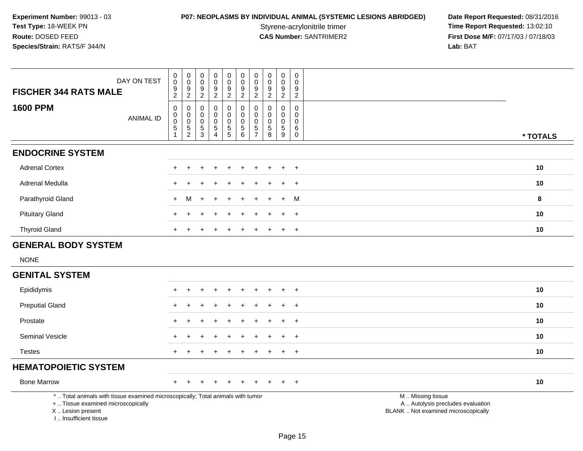**P07: NEOPLASMS BY INDIVIDUAL ANIMAL (SYSTEMIC LESIONS ABRIDGED) Date Report Requested: 08/31/2016<br>Styrene-acrylonitrile trimer <b>Time Report Requested: 13:02:10** Styrene-acrylonitrile trimer<br>
CAS Number: SANTRIMER2<br>
CAS Number: SANTRIMER2<br>
Tirst Dose M/F: 07/17/03 / 07/18/03 **First Dose M/F:** 07/17/03 / 07/18/03<br>Lab: BAT **Lab:** BAT

| DAY ON TEST<br><b>FISCHER 344 RATS MALE</b>                                                                                                                         | $\,0\,$<br>$\boldsymbol{0}$<br>9<br>$\overline{2}$        | 0<br>$\mathsf{O}\xspace$<br>$9\,$<br>$\overline{2}$            | $\pmb{0}$<br>$\mathsf{O}\xspace$<br>9<br>$\overline{2}$ | $\pmb{0}$<br>$\ddot{\mathbf{0}}$<br>$\frac{9}{2}$            | $\mathbf 0$<br>$\pmb{0}$<br>$\frac{9}{2}$                                        | $\pmb{0}$<br>$\mathbf 0$<br>9<br>$\overline{2}$                                    | $\pmb{0}$<br>$\mathbf 0$<br>9<br>$\overline{c}$        | $\pmb{0}$<br>$\pmb{0}$<br>$\boldsymbol{9}$<br>$\overline{2}$                               | $\pmb{0}$<br>$\mathbf 0$<br>9<br>$\overline{2}$  | $\mathsf{O}$<br>$\pmb{0}$<br>9<br>$\overline{2}$  |                                                                                               |
|---------------------------------------------------------------------------------------------------------------------------------------------------------------------|-----------------------------------------------------------|----------------------------------------------------------------|---------------------------------------------------------|--------------------------------------------------------------|----------------------------------------------------------------------------------|------------------------------------------------------------------------------------|--------------------------------------------------------|--------------------------------------------------------------------------------------------|--------------------------------------------------|---------------------------------------------------|-----------------------------------------------------------------------------------------------|
| <b>1600 PPM</b><br><b>ANIMAL ID</b>                                                                                                                                 | $\boldsymbol{0}$<br>$\,0\,$<br>$\pmb{0}$<br>$\frac{5}{1}$ | $\mathbf 0$<br>0<br>$\pmb{0}$<br>$\mathbf 5$<br>$\overline{2}$ | 0<br>$\mathbf 0$<br>0<br>$\frac{5}{3}$                  | $\pmb{0}$<br>0<br>$\pmb{0}$<br>$\,$ 5 $\,$<br>$\overline{4}$ | $\pmb{0}$<br>$\mathbf 0$<br>$\mathbf 0$<br>$\begin{array}{c} 5 \\ 5 \end{array}$ | $\mathbf 0$<br>$\mathbf 0$<br>$\mathbf 0$<br>$\begin{array}{c} 5 \\ 6 \end{array}$ | 0<br>$\mathbf 0$<br>$\mathbf 0$<br>5<br>$\overline{7}$ | $\mathbf 0$<br>$\mathbf 0$<br>$\mathsf{O}\xspace$<br>$\begin{array}{c} 5 \\ 8 \end{array}$ | 0<br>$\mathbf 0$<br>$\mathbf 0$<br>$\frac{5}{9}$ | 0<br>$\mathbf 0$<br>0<br>6<br>$\ddot{\mathbf{0}}$ | * TOTALS                                                                                      |
| <b>ENDOCRINE SYSTEM</b>                                                                                                                                             |                                                           |                                                                |                                                         |                                                              |                                                                                  |                                                                                    |                                                        |                                                                                            |                                                  |                                                   |                                                                                               |
| <b>Adrenal Cortex</b>                                                                                                                                               |                                                           |                                                                |                                                         |                                                              |                                                                                  |                                                                                    |                                                        |                                                                                            |                                                  | $\ddot{}$                                         | 10                                                                                            |
| Adrenal Medulla                                                                                                                                                     |                                                           |                                                                |                                                         |                                                              |                                                                                  |                                                                                    |                                                        |                                                                                            | $\div$                                           | $\overline{+}$                                    | 10                                                                                            |
| Parathyroid Gland                                                                                                                                                   | $+$                                                       | M                                                              | $\ddot{}$                                               |                                                              |                                                                                  |                                                                                    |                                                        |                                                                                            | $\ddot{}$                                        | M                                                 | 8                                                                                             |
| <b>Pituitary Gland</b>                                                                                                                                              |                                                           |                                                                |                                                         |                                                              |                                                                                  |                                                                                    |                                                        |                                                                                            | $\ddot{}$                                        | $+$                                               | 10                                                                                            |
| <b>Thyroid Gland</b>                                                                                                                                                |                                                           |                                                                |                                                         |                                                              |                                                                                  |                                                                                    |                                                        |                                                                                            | $\ddot{}$                                        | $+$                                               | 10                                                                                            |
| <b>GENERAL BODY SYSTEM</b>                                                                                                                                          |                                                           |                                                                |                                                         |                                                              |                                                                                  |                                                                                    |                                                        |                                                                                            |                                                  |                                                   |                                                                                               |
| <b>NONE</b>                                                                                                                                                         |                                                           |                                                                |                                                         |                                                              |                                                                                  |                                                                                    |                                                        |                                                                                            |                                                  |                                                   |                                                                                               |
| <b>GENITAL SYSTEM</b>                                                                                                                                               |                                                           |                                                                |                                                         |                                                              |                                                                                  |                                                                                    |                                                        |                                                                                            |                                                  |                                                   |                                                                                               |
| Epididymis                                                                                                                                                          |                                                           |                                                                |                                                         |                                                              |                                                                                  |                                                                                    |                                                        |                                                                                            |                                                  | $\ddot{}$                                         | 10                                                                                            |
| <b>Preputial Gland</b>                                                                                                                                              |                                                           |                                                                |                                                         |                                                              |                                                                                  |                                                                                    |                                                        |                                                                                            | $\ddot{}$                                        | $+$                                               | 10                                                                                            |
| Prostate                                                                                                                                                            |                                                           |                                                                |                                                         |                                                              |                                                                                  |                                                                                    |                                                        |                                                                                            |                                                  | $+$                                               | 10                                                                                            |
| Seminal Vesicle                                                                                                                                                     |                                                           |                                                                |                                                         |                                                              |                                                                                  |                                                                                    |                                                        |                                                                                            | $\ddot{}$                                        | $+$                                               | 10                                                                                            |
| <b>Testes</b>                                                                                                                                                       |                                                           |                                                                |                                                         |                                                              |                                                                                  |                                                                                    |                                                        |                                                                                            | $\ddot{}$                                        | $\overline{+}$                                    | 10                                                                                            |
| <b>HEMATOPOIETIC SYSTEM</b>                                                                                                                                         |                                                           |                                                                |                                                         |                                                              |                                                                                  |                                                                                    |                                                        |                                                                                            |                                                  |                                                   |                                                                                               |
| <b>Bone Marrow</b>                                                                                                                                                  | $+$                                                       |                                                                |                                                         | $\div$                                                       |                                                                                  |                                                                                    |                                                        |                                                                                            | $\ddot{}$                                        | $+$                                               | 10                                                                                            |
| *  Total animals with tissue examined microscopically; Total animals with tumor<br>+  Tissue examined microscopically<br>X  Lesion present<br>I Insufficient tissue |                                                           |                                                                |                                                         |                                                              |                                                                                  |                                                                                    |                                                        |                                                                                            |                                                  |                                                   | M  Missing tissue<br>A  Autolysis precludes evaluation<br>BLANK  Not examined microscopically |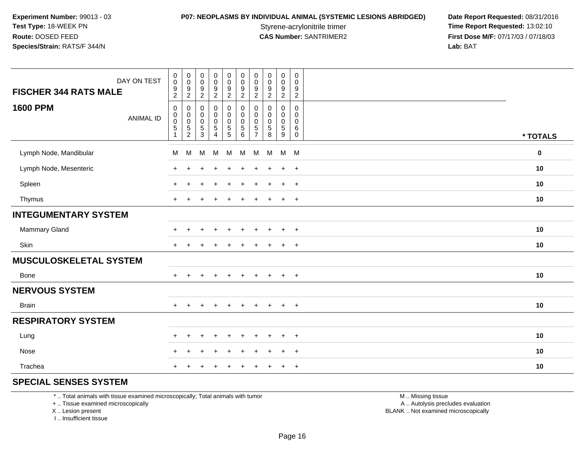### **P07: NEOPLASMS BY INDIVIDUAL ANIMAL (SYSTEMIC LESIONS ABRIDGED) Date Report Requested: 08/31/2016<br>Styrene-acrylonitrile trimer <b>Time Report Requested: 13:02:10**

Styrene-acrylonitrile trimer<br>
CAS Number: SANTRIMER2<br> **CAS Number:** SANTRIMER2<br> **Time Report Requested:** 13:02:10<br> **First Dose M/F:** 07/17/03 / 07/18/03 **First Dose M/F:** 07/17/03 / 07/18/03<br>Lab: BAT **Lab:** BAT

| DAY ON TEST<br><b>FISCHER 344 RATS MALE</b> | $\pmb{0}$<br>$\mathbf 0$<br>$\frac{9}{2}$                                       | $\mathbf 0$<br>$\mathbf 0$<br>$\frac{9}{2}$ | $_{\rm 0}^{\rm 0}$<br>$\frac{9}{2}$                      | $\pmb{0}$<br>$\mathsf{O}\xspace$<br>$\frac{9}{2}$                                   | $\pmb{0}$<br>$\mathbf 0$<br>$\boldsymbol{9}$<br>$\overline{2}$                      | $\pmb{0}$<br>$\mathsf 0$<br>$\boldsymbol{9}$<br>$\overline{2}$ | 0<br>$\pmb{0}$<br>9<br>$\overline{2}$       | $\pmb{0}$<br>$\pmb{0}$<br>$\frac{9}{2}$                    | $\pmb{0}$<br>$\pmb{0}$<br>$\boldsymbol{9}$<br>$\sqrt{2}$          | $\pmb{0}$<br>0<br>9<br>$\overline{2}$               |             |
|---------------------------------------------|---------------------------------------------------------------------------------|---------------------------------------------|----------------------------------------------------------|-------------------------------------------------------------------------------------|-------------------------------------------------------------------------------------|----------------------------------------------------------------|---------------------------------------------|------------------------------------------------------------|-------------------------------------------------------------------|-----------------------------------------------------|-------------|
| <b>1600 PPM</b><br><b>ANIMAL ID</b>         | $\mathbf 0$<br>0<br>$\begin{smallmatrix}0\0\5\end{smallmatrix}$<br>$\mathbf{1}$ | 0<br>0<br>$\pmb{0}$<br>$\frac{5}{2}$        | $\mathbf 0$<br>$\pmb{0}$<br>$\pmb{0}$<br>$\sqrt{5}$<br>3 | $\pmb{0}$<br>$\mathsf 0$<br>$\mathsf{O}\xspace$<br>$\overline{5}$<br>$\overline{4}$ | $\mathbf 0$<br>$\mathbf 0$<br>$\mathsf{O}\xspace$<br>$\mathbf 5$<br>$5\phantom{.0}$ | 0<br>$\mathbf 0$<br>$\mathsf 0$<br>$\sqrt{5}$<br>6             | 0<br>0<br>0<br>$\sqrt{5}$<br>$\overline{7}$ | $\mathbf 0$<br>$\mathbf 0$<br>$\pmb{0}$<br>$\sqrt{5}$<br>8 | 0<br>$\mathbf 0$<br>$\mathbf 0$<br>$\sqrt{5}$<br>$\boldsymbol{9}$ | 0<br>$\mathbf 0$<br>$\mathbf 0$<br>6<br>$\mathbf 0$ | * TOTALS    |
| Lymph Node, Mandibular                      | M                                                                               | M                                           | м                                                        | M                                                                                   | M                                                                                   | M                                                              | M                                           | M                                                          | M M                                                               |                                                     | $\mathbf 0$ |
| Lymph Node, Mesenteric                      | $\ddot{}$                                                                       |                                             |                                                          |                                                                                     |                                                                                     | ÷                                                              | $\pm$                                       | $\div$                                                     | $+$                                                               | $+$                                                 | 10          |
| Spleen                                      | $+$                                                                             | ٠                                           |                                                          | $\div$                                                                              |                                                                                     | $\ddot{}$                                                      | $\pm$                                       | $\mathbf +$                                                | $\ddot{}$                                                         | $+$                                                 | 10          |
| Thymus                                      | $+$                                                                             |                                             |                                                          |                                                                                     |                                                                                     |                                                                |                                             |                                                            | $\ddot{}$                                                         | $^{+}$                                              | 10          |
| <b>INTEGUMENTARY SYSTEM</b>                 |                                                                                 |                                             |                                                          |                                                                                     |                                                                                     |                                                                |                                             |                                                            |                                                                   |                                                     |             |
| <b>Mammary Gland</b>                        | $\ddot{}$                                                                       |                                             |                                                          |                                                                                     |                                                                                     |                                                                |                                             |                                                            | $\div$                                                            | $+$                                                 | 10          |
| Skin                                        | $+$                                                                             |                                             |                                                          |                                                                                     |                                                                                     |                                                                |                                             |                                                            | $\ddot{}$                                                         | $\div$                                              | 10          |
| <b>MUSCULOSKELETAL SYSTEM</b>               |                                                                                 |                                             |                                                          |                                                                                     |                                                                                     |                                                                |                                             |                                                            |                                                                   |                                                     |             |
| Bone                                        | $+$                                                                             | $\ddot{}$                                   | $\ddot{}$                                                | $+$                                                                                 | $+$                                                                                 | $\ddot{}$                                                      | $+$                                         | $\ddot{}$                                                  | $+$                                                               | $+$                                                 | 10          |
| <b>NERVOUS SYSTEM</b>                       |                                                                                 |                                             |                                                          |                                                                                     |                                                                                     |                                                                |                                             |                                                            |                                                                   |                                                     |             |
| Brain                                       | $+$                                                                             | $\ddot{}$                                   | $\ddot{}$                                                | $+$                                                                                 | $\ddot{}$                                                                           | $+$                                                            | $+$                                         | $+$                                                        | $+$                                                               | $+$                                                 | 10          |
| <b>RESPIRATORY SYSTEM</b>                   |                                                                                 |                                             |                                                          |                                                                                     |                                                                                     |                                                                |                                             |                                                            |                                                                   |                                                     |             |
| Lung                                        | $+$                                                                             | $\ddot{}$                                   |                                                          | ÷.                                                                                  |                                                                                     |                                                                |                                             |                                                            | $\ddot{}$                                                         | $+$                                                 | 10          |
| Nose                                        | $+$                                                                             | $\pm$                                       |                                                          |                                                                                     |                                                                                     |                                                                |                                             |                                                            | $\ddot{}$                                                         | $\overline{+}$                                      | 10          |
| Trachea                                     | $\pm$                                                                           |                                             |                                                          |                                                                                     |                                                                                     |                                                                |                                             |                                                            | $\ddot{}$                                                         | $+$                                                 | 10          |

### **SPECIAL SENSES SYSTEM**

\* .. Total animals with tissue examined microscopically; Total animals with tumor

+ .. Tissue examined microscopically

X .. Lesion present

I .. Insufficient tissue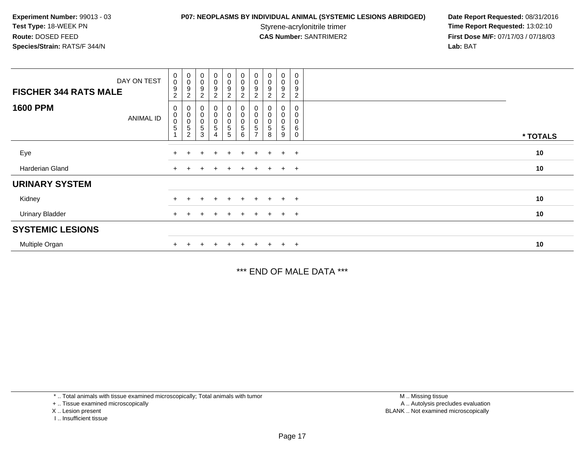## **P07: NEOPLASMS BY INDIVIDUAL ANIMAL (SYSTEMIC LESIONS ABRIDGED) Date Report Requested: 08/31/2016<br>Styrene-acrylonitrile trimer <b>Time Report Requested: 13:02:10**

Styrene-acrylonitrile trimer<br>
CAS Number: SANTRIMER2<br> **CAS Number:** SANTRIMER2<br> **Time Report Requested:** 13:02:10 **First Dose M/F:** 07/17/03 / 07/18/03<br>Lab: BAT **Lab:** BAT

| DAY ON TEST<br><b>FISCHER 344 RATS MALE</b> | $_{\rm 0}^{\rm 0}$<br>9<br>$\overline{2}$ | $\begin{smallmatrix}0\0\0\9\end{smallmatrix}$<br>$\sqrt{2}$          | $\begin{smallmatrix}0\\0\\9\end{smallmatrix}$<br>$\sqrt{2}$ | $\begin{smallmatrix}0\0\0\9\end{smallmatrix}$<br>$\overline{c}$ | $_{\rm 0}^{\rm 0}$<br>$\overline{9}$<br>$\overline{c}$            | $\begin{smallmatrix}0\0\0\9\end{smallmatrix}$<br>$\overline{c}$               | $\pmb{0}$<br>$\pmb{0}$<br>9<br>$\overline{2}$ | $\begin{smallmatrix}0\\0\\9\end{smallmatrix}$<br>$\overline{2}$ | 0<br>0<br>9<br>$\overline{c}$           | $\overline{0}$<br>$\mathbf 0$<br>9<br>$\overline{\mathbf{c}}$ |          |
|---------------------------------------------|-------------------------------------------|----------------------------------------------------------------------|-------------------------------------------------------------|-----------------------------------------------------------------|-------------------------------------------------------------------|-------------------------------------------------------------------------------|-----------------------------------------------|-----------------------------------------------------------------|-----------------------------------------|---------------------------------------------------------------|----------|
| <b>1600 PPM</b><br><b>ANIMAL ID</b>         | 0<br>$\pmb{0}$<br>$\pmb{0}$<br>5          | $\begin{matrix}0\\0\\0\end{matrix}$<br>$\mathbf 5$<br>$\overline{2}$ | $\begin{matrix}0\0\0\end{matrix}$<br>5<br>3                 | $_0^0$<br>$\mathsf{O}\xspace$<br>5<br>4                         | $\begin{smallmatrix}0\\0\end{smallmatrix}$<br>$\pmb{0}$<br>5<br>5 | $\begin{smallmatrix}0\\0\end{smallmatrix}$<br>$\mathbf 0$<br>$\mathbf 5$<br>6 | 0<br>O<br>5                                   | 0<br>$\mathbf 0$<br>0<br>5<br>8                                 | 0<br>0<br>$\mathsf{O}\xspace$<br>5<br>9 | $\mathbf 0$<br>0<br>6<br>0                                    | * TOTALS |
| Eye                                         | $+$                                       |                                                                      | $\div$                                                      | $\ddot{}$                                                       | $+$                                                               | $+$                                                                           | $+$                                           | $+$                                                             | $+$                                     | $+$                                                           | 10       |
| Harderian Gland                             | $^+$                                      |                                                                      |                                                             | $\div$                                                          | $+$                                                               | $\pm$                                                                         | $+$                                           | $+$                                                             | $+$                                     | $+$                                                           | 10       |
| <b>URINARY SYSTEM</b>                       |                                           |                                                                      |                                                             |                                                                 |                                                                   |                                                                               |                                               |                                                                 |                                         |                                                               |          |
| Kidney                                      | $+$                                       |                                                                      | ÷                                                           | $\ddot{}$                                                       | $+$                                                               | $\pm$                                                                         | ÷.                                            |                                                                 | $\pm$                                   | $^{+}$                                                        | 10       |
| <b>Urinary Bladder</b>                      | $+$                                       |                                                                      | $\pm$                                                       | $\pm$                                                           | $+$                                                               | $+$                                                                           | $+$                                           | $+$                                                             | $+$                                     | $+$                                                           | 10       |
| <b>SYSTEMIC LESIONS</b>                     |                                           |                                                                      |                                                             |                                                                 |                                                                   |                                                                               |                                               |                                                                 |                                         |                                                               |          |
| Multiple Organ                              |                                           |                                                                      |                                                             | $\ddot{}$                                                       |                                                                   | $+$                                                                           | $+$                                           |                                                                 | $\pm$                                   | $+$                                                           | 10       |

\*\*\* END OF MALE DATA \*\*\*

\* .. Total animals with tissue examined microscopically; Total animals with tumor

+ .. Tissue examined microscopically

X .. Lesion present

I .. Insufficient tissue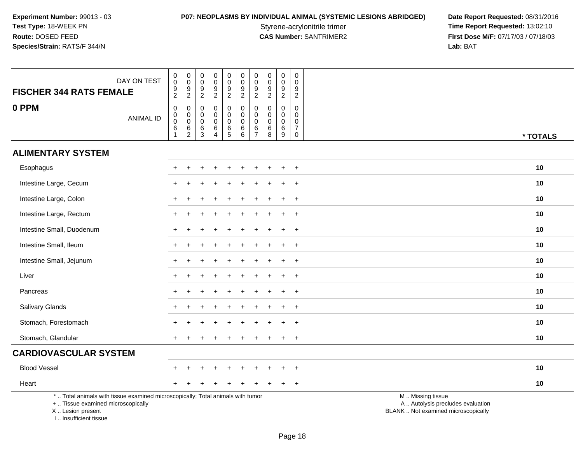# **P07: NEOPLASMS BY INDIVIDUAL ANIMAL (SYSTEMIC LESIONS ABRIDGED) Date Report Requested: 08/31/2016<br>Styrene-acrylonitrile trimer <b>Time Report Requested: 13:02:10**

Styrene-acrylonitrile trimer<br>
CAS Number: SANTRIMER2<br>
CAS Number: SANTRIMER2<br>
Tirst Dose M/F: 07/17/03 / 07/18/03 **First Dose M/F:** 07/17/03 / 07/18/03<br>Lab: BAT **Lab:** BAT

| DAY ON TEST<br><b>FISCHER 344 RATS FEMALE</b>                                                                                                                      | $\pmb{0}$<br>$\mathbf 0$<br>$\frac{9}{2}$         | $\mathsf{O}$<br>$\bar{0}$<br>$\frac{9}{2}$                               | $\pmb{0}$<br>$\ddot{\mathbf{0}}$<br>$\frac{9}{2}$                         | $_{\rm 0}^{\rm 0}$<br>$\frac{9}{2}$                              | $\pmb{0}$<br>$\overline{0}$<br>$\boldsymbol{9}$<br>$\overline{2}$ | $\pmb{0}$<br>$\ddot{\mathbf{0}}$<br>$\boldsymbol{9}$<br>$\overline{2}$ | $\mathbf 0$<br>$\mathbf 0$<br>9<br>$\overline{2}$            | $\mathbf 0$<br>$\pmb{0}$<br>9<br>$\overline{2}$ | $\pmb{0}$<br>$\ddot{\mathbf{0}}$<br>$\boldsymbol{9}$<br>$\overline{2}$ | $\mathbf 0$<br>$\mathbf 0$<br>9<br>$\overline{2}$                |                                                                                               |
|--------------------------------------------------------------------------------------------------------------------------------------------------------------------|---------------------------------------------------|--------------------------------------------------------------------------|---------------------------------------------------------------------------|------------------------------------------------------------------|-------------------------------------------------------------------|------------------------------------------------------------------------|--------------------------------------------------------------|-------------------------------------------------|------------------------------------------------------------------------|------------------------------------------------------------------|-----------------------------------------------------------------------------------------------|
| 0 PPM<br><b>ANIMAL ID</b>                                                                                                                                          | $\mathbf 0$<br>$\pmb{0}$<br>$\mathbf 0$<br>6<br>1 | $\pmb{0}$<br>$\mathsf{O}\xspace$<br>$\ddot{\mathbf{0}}$<br>$\frac{6}{2}$ | $\mathbf 0$<br>$\boldsymbol{0}$<br>$\mathbf 0$<br>$\,6\,$<br>$\mathbf{3}$ | $\pmb{0}$<br>$\pmb{0}$<br>$\mathbf 0$<br>$\,6$<br>$\overline{4}$ | 0<br>$\pmb{0}$<br>$\pmb{0}$<br>$\frac{6}{5}$                      | $\mathbf 0$<br>$\mathbf 0$<br>$\mathbf 0$<br>$\,6\,$<br>6              | $\mathbf 0$<br>0<br>$\mathbf 0$<br>$\,6\,$<br>$\overline{7}$ | $\Omega$<br>0<br>$\mathbf 0$<br>$\,6$<br>8      | $\mathbf 0$<br>0<br>0<br>$\,6\,$<br>9                                  | $\mathbf 0$<br>$\mathbf 0$<br>$\mathbf 0$<br>$\overline{7}$<br>0 | * TOTALS                                                                                      |
| <b>ALIMENTARY SYSTEM</b>                                                                                                                                           |                                                   |                                                                          |                                                                           |                                                                  |                                                                   |                                                                        |                                                              |                                                 |                                                                        |                                                                  |                                                                                               |
| Esophagus                                                                                                                                                          |                                                   |                                                                          |                                                                           |                                                                  |                                                                   |                                                                        |                                                              |                                                 |                                                                        | $\ddot{}$                                                        | 10                                                                                            |
| Intestine Large, Cecum                                                                                                                                             |                                                   |                                                                          |                                                                           |                                                                  |                                                                   |                                                                        |                                                              |                                                 |                                                                        | $\overline{1}$                                                   | 10                                                                                            |
| Intestine Large, Colon                                                                                                                                             |                                                   |                                                                          |                                                                           |                                                                  |                                                                   |                                                                        |                                                              |                                                 |                                                                        | $\pm$                                                            | 10                                                                                            |
| Intestine Large, Rectum                                                                                                                                            |                                                   |                                                                          |                                                                           |                                                                  |                                                                   |                                                                        |                                                              |                                                 | $\ddot{}$                                                              | $+$                                                              | 10                                                                                            |
| Intestine Small, Duodenum                                                                                                                                          |                                                   |                                                                          |                                                                           |                                                                  |                                                                   |                                                                        |                                                              |                                                 |                                                                        | $\ddot{}$                                                        | 10                                                                                            |
| Intestine Small, Ileum                                                                                                                                             |                                                   |                                                                          |                                                                           |                                                                  |                                                                   |                                                                        |                                                              |                                                 |                                                                        | $\ddot{}$                                                        | 10                                                                                            |
| Intestine Small, Jejunum                                                                                                                                           |                                                   |                                                                          |                                                                           |                                                                  |                                                                   |                                                                        |                                                              |                                                 | $\div$                                                                 | $+$                                                              | 10                                                                                            |
| Liver                                                                                                                                                              |                                                   |                                                                          |                                                                           |                                                                  |                                                                   |                                                                        |                                                              |                                                 |                                                                        | $\ddot{}$                                                        | 10                                                                                            |
| Pancreas                                                                                                                                                           |                                                   |                                                                          |                                                                           |                                                                  |                                                                   |                                                                        |                                                              |                                                 |                                                                        | $\overline{1}$                                                   | 10                                                                                            |
| Salivary Glands                                                                                                                                                    |                                                   |                                                                          |                                                                           |                                                                  |                                                                   |                                                                        |                                                              |                                                 | $\div$                                                                 | $+$                                                              | 10                                                                                            |
| Stomach, Forestomach                                                                                                                                               |                                                   |                                                                          |                                                                           |                                                                  |                                                                   |                                                                        |                                                              |                                                 |                                                                        | $\overline{+}$                                                   | 10                                                                                            |
| Stomach, Glandular                                                                                                                                                 |                                                   |                                                                          |                                                                           |                                                                  |                                                                   |                                                                        |                                                              |                                                 | $\ddot{}$                                                              | $+$                                                              | 10                                                                                            |
| <b>CARDIOVASCULAR SYSTEM</b>                                                                                                                                       |                                                   |                                                                          |                                                                           |                                                                  |                                                                   |                                                                        |                                                              |                                                 |                                                                        |                                                                  |                                                                                               |
| <b>Blood Vessel</b>                                                                                                                                                |                                                   |                                                                          |                                                                           |                                                                  |                                                                   |                                                                        |                                                              |                                                 | $\div$                                                                 | $+$                                                              | 10                                                                                            |
| Heart                                                                                                                                                              |                                                   |                                                                          |                                                                           |                                                                  |                                                                   |                                                                        |                                                              |                                                 | $\div$                                                                 | $+$                                                              | 10                                                                                            |
| *  Total animals with tissue examined microscopically; Total animals with tumor<br>+  Tissue examined microscopically<br>X Lesion present<br>I Insufficient tissue |                                                   |                                                                          |                                                                           |                                                                  |                                                                   |                                                                        |                                                              |                                                 |                                                                        |                                                                  | M  Missing tissue<br>A  Autolysis precludes evaluation<br>BLANK  Not examined microscopically |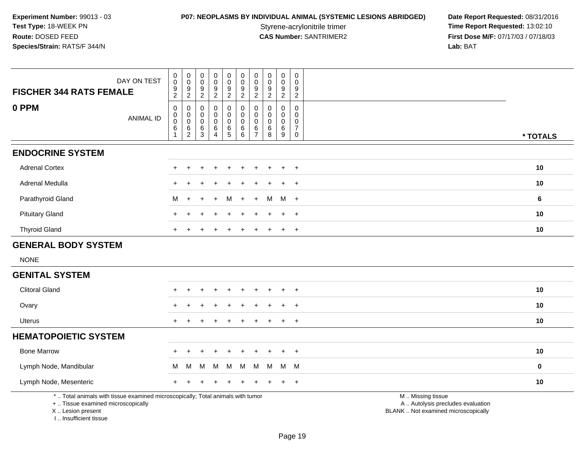# **P07: NEOPLASMS BY INDIVIDUAL ANIMAL (SYSTEMIC LESIONS ABRIDGED) Date Report Requested: 08/31/2016<br>Styrene-acrylonitrile trimer <b>Time Report Requested: 13:02:10**

Styrene-acrylonitrile trimer<br>
CAS Number: SANTRIMER2<br>
CAS Number: SANTRIMER2<br>
Tirst Dose M/F: 07/17/03 / 07/18/03 **First Dose M/F:** 07/17/03 / 07/18/03<br>Lab: BAT **Lab:** BAT

| <b>FISCHER 344 RATS FEMALE</b>                                                                                                             | DAY ON TEST      | $\pmb{0}$<br>$\pmb{0}$<br>9                                  | $\pmb{0}$<br>$\mathsf{O}\xspace$<br>9             | 0<br>0<br>9                             | $\mathbf 0$<br>$\mathsf 0$<br>$9\,$     | 0<br>$\pmb{0}$<br>$\boldsymbol{9}$        | $\pmb{0}$<br>$\pmb{0}$<br>9                       | 0<br>$\mathbf 0$<br>9                          | $\mathbf 0$<br>$\pmb{0}$<br>9                     | 0<br>$\pmb{0}$<br>9           | $\pmb{0}$<br>$\mathbf 0$<br>9 |                                                                                               |          |
|--------------------------------------------------------------------------------------------------------------------------------------------|------------------|--------------------------------------------------------------|---------------------------------------------------|-----------------------------------------|-----------------------------------------|-------------------------------------------|---------------------------------------------------|------------------------------------------------|---------------------------------------------------|-------------------------------|-------------------------------|-----------------------------------------------------------------------------------------------|----------|
| 0 PPM                                                                                                                                      | <b>ANIMAL ID</b> | $\overline{2}$<br>$\pmb{0}$<br>$\boldsymbol{0}$<br>$\pmb{0}$ | $\overline{c}$<br>0<br>$\mathbf 0$<br>$\mathbf 0$ | $\overline{2}$<br>0<br>0<br>$\mathbf 0$ | $\overline{2}$<br>0<br>0<br>$\mathbf 0$ | $\boldsymbol{2}$<br>0<br>0<br>$\mathbf 0$ | $\overline{2}$<br>0<br>$\mathbf 0$<br>$\mathbf 0$ | $\overline{c}$<br>$\Omega$<br>0<br>$\mathbf 0$ | $\overline{2}$<br>$\mathbf 0$<br>$\mathbf 0$<br>0 | $\overline{c}$<br>0<br>0<br>0 | $\overline{2}$<br>0<br>0<br>0 |                                                                                               |          |
|                                                                                                                                            |                  | 6<br>$\overline{1}$                                          | $^6_2$                                            | $^6_3$                                  | $\,6$<br>$\boldsymbol{\Lambda}$         | $6\over 5$                                | $^6_6$                                            | 6<br>$\overline{7}$                            | $^6_8$                                            | 6<br>$\overline{9}$           | $\overline{7}$<br>$\mathsf 0$ |                                                                                               | * TOTALS |
| <b>ENDOCRINE SYSTEM</b>                                                                                                                    |                  |                                                              |                                                   |                                         |                                         |                                           |                                                   |                                                |                                                   |                               |                               |                                                                                               |          |
| <b>Adrenal Cortex</b>                                                                                                                      |                  |                                                              |                                                   |                                         |                                         |                                           |                                                   |                                                |                                                   |                               | $\overline{+}$                |                                                                                               | 10       |
| Adrenal Medulla                                                                                                                            |                  |                                                              |                                                   |                                         |                                         |                                           |                                                   |                                                |                                                   | $\ddot{}$                     | $\ddot{}$                     |                                                                                               | 10       |
| Parathyroid Gland                                                                                                                          |                  | М                                                            |                                                   |                                         |                                         | M                                         |                                                   |                                                | м                                                 | M                             | $+$                           |                                                                                               | 6        |
| <b>Pituitary Gland</b>                                                                                                                     |                  |                                                              |                                                   |                                         |                                         |                                           |                                                   |                                                |                                                   | $\div$                        | $\overline{+}$                |                                                                                               | 10       |
| <b>Thyroid Gland</b>                                                                                                                       |                  |                                                              |                                                   |                                         |                                         |                                           |                                                   |                                                |                                                   | $\ddot{}$                     | $+$                           |                                                                                               | 10       |
| <b>GENERAL BODY SYSTEM</b>                                                                                                                 |                  |                                                              |                                                   |                                         |                                         |                                           |                                                   |                                                |                                                   |                               |                               |                                                                                               |          |
| <b>NONE</b>                                                                                                                                |                  |                                                              |                                                   |                                         |                                         |                                           |                                                   |                                                |                                                   |                               |                               |                                                                                               |          |
| <b>GENITAL SYSTEM</b>                                                                                                                      |                  |                                                              |                                                   |                                         |                                         |                                           |                                                   |                                                |                                                   |                               |                               |                                                                                               |          |
| <b>Clitoral Gland</b>                                                                                                                      |                  |                                                              |                                                   |                                         |                                         |                                           |                                                   |                                                |                                                   |                               | $\div$                        |                                                                                               | 10       |
| Ovary                                                                                                                                      |                  |                                                              |                                                   |                                         |                                         |                                           |                                                   |                                                |                                                   |                               | $\ddot{}$                     |                                                                                               | 10       |
| Uterus                                                                                                                                     |                  | $+$                                                          |                                                   |                                         |                                         |                                           |                                                   |                                                |                                                   | $\ddot{}$                     | $+$                           |                                                                                               | 10       |
| <b>HEMATOPOIETIC SYSTEM</b>                                                                                                                |                  |                                                              |                                                   |                                         |                                         |                                           |                                                   |                                                |                                                   |                               |                               |                                                                                               |          |
| <b>Bone Marrow</b>                                                                                                                         |                  |                                                              |                                                   |                                         |                                         |                                           |                                                   |                                                |                                                   |                               | $\overline{+}$                |                                                                                               | 10       |
| Lymph Node, Mandibular                                                                                                                     |                  | M                                                            | M                                                 | м                                       | M                                       | M                                         | M                                                 | M                                              | M                                                 | M                             | - M                           |                                                                                               | 0        |
| Lymph Node, Mesenteric                                                                                                                     |                  |                                                              |                                                   |                                         |                                         |                                           |                                                   |                                                |                                                   |                               | $\overline{+}$                |                                                                                               | 10       |
| *  Total animals with tissue examined microscopically; Total animals with tumor<br>+  Tissue examined microscopically<br>X  Lesion present |                  |                                                              |                                                   |                                         |                                         |                                           |                                                   |                                                |                                                   |                               |                               | M  Missing tissue<br>A  Autolysis precludes evaluation<br>BLANK  Not examined microscopically |          |

I .. Insufficient tissue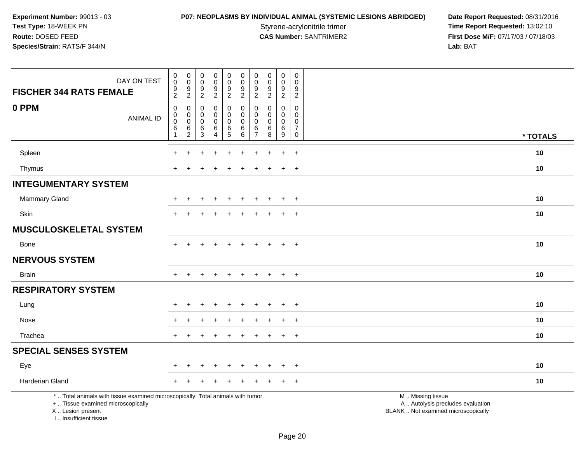**P07: NEOPLASMS BY INDIVIDUAL ANIMAL (SYSTEMIC LESIONS ABRIDGED) Date Report Requested: 08/31/2016<br>Styrene-acrylonitrile trimer <b>Time Report Requested: 13:02:10** Styrene-acrylonitrile trimer<br>
CAS Number: SANTRIMER2<br>
CAS Number: SANTRIMER2<br>
Tirst Dose M/F: 07/17/03 / 07/18/03 **First Dose M/F:** 07/17/03 / 07/18/03<br>Lab: BAT **Lab:** BAT

| DAY ON TEST<br><b>FISCHER 344 RATS FEMALE</b>                                                                                                                       | $\pmb{0}$<br>$\pmb{0}$<br>$\boldsymbol{9}$<br>$\overline{2}$                       | $\mathbf 0$<br>$\mathbf 0$<br>9<br>$\overline{2}$ | $\mathbf 0$<br>$\mathsf{O}\xspace$<br>$\boldsymbol{9}$<br>$\overline{2}$ | $\pmb{0}$<br>$\pmb{0}$<br>$\boldsymbol{9}$<br>$\overline{2}$         | $\pmb{0}$<br>$\mathbf 0$<br>9<br>$\overline{2}$  | $\mathsf{O}\xspace$<br>$\mathsf{O}\xspace$<br>9<br>$\overline{2}$ | $\pmb{0}$<br>0<br>9<br>$\overline{2}$               | $\pmb{0}$<br>$\mathbf 0$<br>$\boldsymbol{9}$<br>$\overline{2}$       | $\pmb{0}$<br>$\mathbf 0$<br>$\boldsymbol{9}$<br>$\overline{2}$ | $\boldsymbol{0}$<br>$\mathbf 0$<br>9<br>$\overline{2}$                  |                                                                                               |          |
|---------------------------------------------------------------------------------------------------------------------------------------------------------------------|------------------------------------------------------------------------------------|---------------------------------------------------|--------------------------------------------------------------------------|----------------------------------------------------------------------|--------------------------------------------------|-------------------------------------------------------------------|-----------------------------------------------------|----------------------------------------------------------------------|----------------------------------------------------------------|-------------------------------------------------------------------------|-----------------------------------------------------------------------------------------------|----------|
| 0 PPM<br><b>ANIMAL ID</b>                                                                                                                                           | $\mathbf 0$<br>$\mathsf{O}\xspace$<br>$\ddot{\mathbf{0}}$<br>$\,6$<br>$\mathbf{1}$ | 0<br>$\mathbf 0$<br>$\mathsf{O}\xspace$<br>$^6_2$ | $\mathbf 0$<br>$\mathbf 0$<br>$\mathbf 0$<br>6<br>$\overline{3}$         | 0<br>$\mathbf 0$<br>$\mathsf{O}\xspace$<br>$\,6\,$<br>$\overline{4}$ | $\mathbf 0$<br>0<br>$\mathsf 0$<br>$\frac{6}{5}$ | 0<br>$\mathbf 0$<br>0<br>$^6_6$                                   | 0<br>$\Omega$<br>$\mathbf 0$<br>6<br>$\overline{7}$ | $\mathbf 0$<br>$\mathbf 0$<br>$\pmb{0}$<br>$\,6\,$<br>$\overline{8}$ | 0<br>$\mathbf 0$<br>$\mathbf 0$<br>$^6_9$                      | $\mathbf 0$<br>$\Omega$<br>$\mathbf 0$<br>$\overline{7}$<br>$\mathbf 0$ |                                                                                               | * TOTALS |
| Spleen                                                                                                                                                              |                                                                                    |                                                   |                                                                          |                                                                      |                                                  |                                                                   |                                                     |                                                                      | $\ddot{}$                                                      | $+$                                                                     |                                                                                               | 10       |
| Thymus                                                                                                                                                              |                                                                                    |                                                   |                                                                          |                                                                      |                                                  |                                                                   |                                                     |                                                                      | $\ddot{}$                                                      | $+$                                                                     |                                                                                               | 10       |
| <b>INTEGUMENTARY SYSTEM</b>                                                                                                                                         |                                                                                    |                                                   |                                                                          |                                                                      |                                                  |                                                                   |                                                     |                                                                      |                                                                |                                                                         |                                                                                               |          |
| <b>Mammary Gland</b>                                                                                                                                                | ÷                                                                                  |                                                   |                                                                          |                                                                      |                                                  |                                                                   |                                                     |                                                                      | ÷                                                              | $+$                                                                     |                                                                                               | 10       |
| Skin                                                                                                                                                                | $\pm$                                                                              |                                                   |                                                                          |                                                                      |                                                  |                                                                   |                                                     |                                                                      | $\overline{+}$                                                 | $+$                                                                     |                                                                                               | 10       |
| <b>MUSCULOSKELETAL SYSTEM</b>                                                                                                                                       |                                                                                    |                                                   |                                                                          |                                                                      |                                                  |                                                                   |                                                     |                                                                      |                                                                |                                                                         |                                                                                               |          |
| <b>Bone</b>                                                                                                                                                         | $\ddot{}$                                                                          |                                                   |                                                                          |                                                                      |                                                  |                                                                   |                                                     | $\overline{+}$                                                       | $+$                                                            | $+$                                                                     |                                                                                               | 10       |
| <b>NERVOUS SYSTEM</b>                                                                                                                                               |                                                                                    |                                                   |                                                                          |                                                                      |                                                  |                                                                   |                                                     |                                                                      |                                                                |                                                                         |                                                                                               |          |
| <b>Brain</b>                                                                                                                                                        | $+$                                                                                | $\ddot{}$                                         | $\ddot{}$                                                                | $\ddot{}$                                                            | $\ddot{}$                                        | $+$                                                               | $\ddot{}$                                           | $+$                                                                  | $+$                                                            | $+$                                                                     |                                                                                               | 10       |
| <b>RESPIRATORY SYSTEM</b>                                                                                                                                           |                                                                                    |                                                   |                                                                          |                                                                      |                                                  |                                                                   |                                                     |                                                                      |                                                                |                                                                         |                                                                                               |          |
| Lung                                                                                                                                                                |                                                                                    |                                                   |                                                                          |                                                                      |                                                  |                                                                   |                                                     |                                                                      |                                                                | $\ddot{}$                                                               |                                                                                               | 10       |
| Nose                                                                                                                                                                |                                                                                    |                                                   |                                                                          |                                                                      |                                                  |                                                                   |                                                     |                                                                      |                                                                | $\ddot{}$                                                               |                                                                                               | 10       |
| Trachea                                                                                                                                                             | $\pm$                                                                              |                                                   |                                                                          |                                                                      |                                                  |                                                                   |                                                     |                                                                      | $\ddot{}$                                                      | $+$                                                                     |                                                                                               | 10       |
| <b>SPECIAL SENSES SYSTEM</b>                                                                                                                                        |                                                                                    |                                                   |                                                                          |                                                                      |                                                  |                                                                   |                                                     |                                                                      |                                                                |                                                                         |                                                                                               |          |
| Eye                                                                                                                                                                 |                                                                                    |                                                   |                                                                          |                                                                      |                                                  |                                                                   |                                                     |                                                                      |                                                                | $\ddot{}$                                                               |                                                                                               | 10       |
| Harderian Gland                                                                                                                                                     |                                                                                    |                                                   |                                                                          |                                                                      |                                                  |                                                                   |                                                     |                                                                      |                                                                | $\ddot{}$                                                               |                                                                                               | 10       |
| *  Total animals with tissue examined microscopically; Total animals with tumor<br>+  Tissue examined microscopically<br>X  Lesion present<br>I Insufficient tissue |                                                                                    |                                                   |                                                                          |                                                                      |                                                  |                                                                   |                                                     |                                                                      |                                                                |                                                                         | M  Missing tissue<br>A  Autolysis precludes evaluation<br>BLANK  Not examined microscopically |          |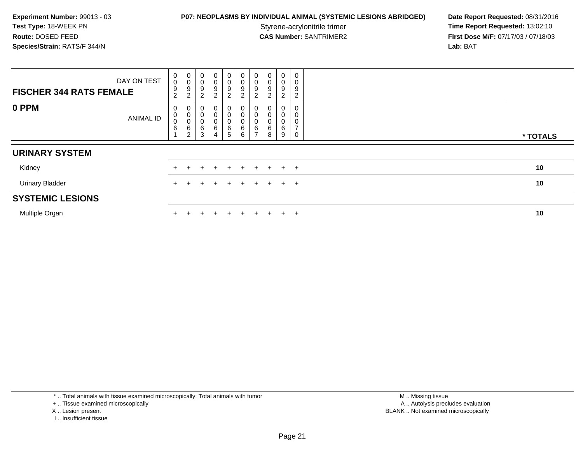## **P07: NEOPLASMS BY INDIVIDUAL ANIMAL (SYSTEMIC LESIONS ABRIDGED) Date Report Requested: 08/31/2016<br>Styrene-acrylonitrile trimer <b>Time Report Requested: 13:02:10**

Styrene-acrylonitrile trimer<br>
CAS Number: SANTRIMER2<br> **CAS Number:** SANTRIMER2<br> **Time Report Requested:** 13:02:10 **First Dose M/F:** 07/17/03 / 07/18/03<br>Lab: BAT **Lab:** BAT

| <b>FISCHER 344 RATS FEMALE</b> | DAY ON TEST | $_0^0$<br>$\boldsymbol{9}$<br>$\overline{c}$ | $_{\rm 0}^{\rm 0}$<br>$\boldsymbol{9}$<br>$\sqrt{2}$ | $\begin{smallmatrix}0\0\0\end{smallmatrix}$<br>9<br>$\boldsymbol{2}$ | $_{\rm 0}^{\rm 0}$<br>9<br>$\overline{c}$              | $\mathbf 0$<br>$\pmb{0}$<br>$\boldsymbol{9}$<br>$\overline{a}$ | $\mathbf 0$<br>0<br>9<br>$\overline{2}$ | $\begin{smallmatrix}0\\0\end{smallmatrix}$<br>$\boldsymbol{9}$<br>∩<br>∠ | 0<br>$\pmb{0}$<br>9<br>$\overline{2}$ | $\pmb{0}$<br>$\pmb{0}$<br>9<br>2 | $\boldsymbol{0}$<br>0<br>9<br>$\overline{c}$ |          |
|--------------------------------|-------------|----------------------------------------------|------------------------------------------------------|----------------------------------------------------------------------|--------------------------------------------------------|----------------------------------------------------------------|-----------------------------------------|--------------------------------------------------------------------------|---------------------------------------|----------------------------------|----------------------------------------------|----------|
| 0 PPM                          | ANIMAL ID   | O<br>0<br>0<br>$\,6$                         | 0<br>$\mathbf 0$<br>$\pmb{0}$<br>$\frac{6}{2}$       | O<br>$\pmb{0}$<br>$\pmb{0}$<br>$^6_3$                                | 0<br>$\pmb{0}$<br>$\pmb{0}$<br>$\,6$<br>$\overline{4}$ | 0<br>$\pmb{0}$<br>$\pmb{0}$<br>$6\over 5$                      | 0<br>0<br>6<br>6                        | 0<br>$\mathbf 0$<br>$\mathbf 0$<br>6<br>-                                | 0<br>0<br>6<br>8                      | 0<br>$\pmb{0}$<br>0<br>6<br>9    | 0<br>0<br>0<br>$\overline{ }$<br>$\pmb{0}$   | * TOTALS |
| <b>URINARY SYSTEM</b>          |             |                                              |                                                      |                                                                      |                                                        |                                                                |                                         |                                                                          |                                       |                                  |                                              |          |
| Kidney                         |             |                                              |                                                      |                                                                      |                                                        |                                                                | ÷.                                      |                                                                          |                                       |                                  | $+$ $+$                                      | 10       |
| <b>Urinary Bladder</b>         |             |                                              |                                                      |                                                                      |                                                        |                                                                | $+$                                     |                                                                          |                                       | $+$                              | $+$                                          | 10       |
| <b>SYSTEMIC LESIONS</b>        |             |                                              |                                                      |                                                                      |                                                        |                                                                |                                         |                                                                          |                                       |                                  |                                              |          |
| Multiple Organ                 |             |                                              |                                                      |                                                                      | ÷                                                      | ٠                                                              | $+$                                     | $\pm$                                                                    |                                       | $+$                              | $+$                                          | 10       |

\* .. Total animals with tissue examined microscopically; Total animals with tumor

+ .. Tissue examined microscopically

- X .. Lesion present
- I .. Insufficient tissue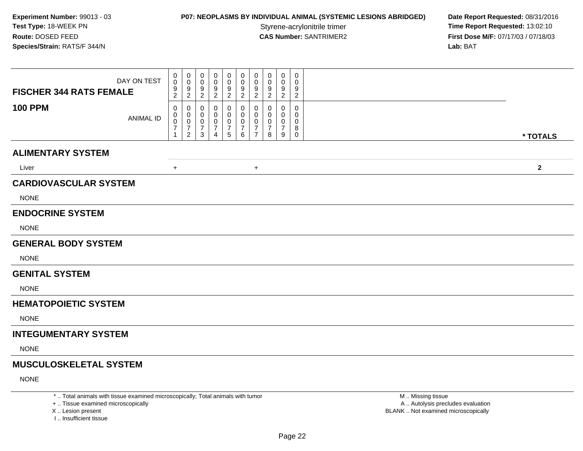### **P07: NEOPLASMS BY INDIVIDUAL ANIMAL (SYSTEMIC LESIONS ABRIDGED) Date Report Requested: 08/31/2016<br>Styrene-acrylonitrile trimer <b>Time Report Requested: 13:02:10**

Styrene-acrylonitrile trimer<br>
CAS Number: SANTRIMER2<br> **CAS Number:** SANTRIMER2<br> **Time Report Requested:** 13:02:10 **First Dose M/F:** 07/17/03 / 07/18/03<br>Lab: BAT **Lab:** BAT

| DAY ON TEST<br><b>FISCHER 344 RATS FEMALE</b> | 0<br>0<br>$\boldsymbol{9}$<br>$\overline{c}$ | 0<br>0<br>9<br>$\overline{c}$                                                 | 0<br>0<br>9<br>$\overline{c}$      | 0<br>0<br>9<br>$\boldsymbol{2}$    | 0<br>0<br>9<br>$\overline{a}$      | 0<br>0<br>9<br>$\overline{a}$                | 0<br>0<br>9<br>$\overline{c}$                             | 0<br>0<br>9<br>$\boldsymbol{2}$ | $\mathbf 0$<br>$\mathbf 0$<br>9<br>$\sqrt{2}$ | 0<br>0<br>9<br>$\overline{c}$   |              |
|-----------------------------------------------|----------------------------------------------|-------------------------------------------------------------------------------|------------------------------------|------------------------------------|------------------------------------|----------------------------------------------|-----------------------------------------------------------|---------------------------------|-----------------------------------------------|---------------------------------|--------------|
| <b>100 PPM</b><br><b>ANIMAL ID</b>            | 0<br>0<br>0<br>$\overline{7}$<br>1           | $\mathbf 0$<br>$\mathbf 0$<br>$\mathbf 0$<br>$\overline{7}$<br>$\overline{2}$ | 0<br>0<br>0<br>$\overline{7}$<br>3 | 0<br>0<br>0<br>$\overline{7}$<br>4 | 0<br>0<br>0<br>$\overline{7}$<br>5 | 0<br>0<br>$\mathbf 0$<br>$\overline{7}$<br>6 | 0<br>$\mathbf 0$<br>0<br>$\overline{7}$<br>$\overline{7}$ | $\Omega$<br>0<br>0<br>7<br>8    | 0<br>$\Omega$<br>0<br>$\overline{7}$<br>9     | 0<br>0<br>0<br>8<br>$\mathbf 0$ | * TOTALS     |
| <b>ALIMENTARY SYSTEM</b>                      |                                              |                                                                               |                                    |                                    |                                    |                                              |                                                           |                                 |                                               |                                 |              |
|                                               |                                              |                                                                               |                                    |                                    |                                    |                                              |                                                           |                                 |                                               |                                 |              |
| Liver                                         | $+$                                          |                                                                               |                                    |                                    |                                    |                                              | $+$                                                       |                                 |                                               |                                 | $\mathbf{2}$ |
| <b>CARDIOVASCULAR SYSTEM</b>                  |                                              |                                                                               |                                    |                                    |                                    |                                              |                                                           |                                 |                                               |                                 |              |
| <b>NONE</b>                                   |                                              |                                                                               |                                    |                                    |                                    |                                              |                                                           |                                 |                                               |                                 |              |
| <b>ENDOCRINE SYSTEM</b>                       |                                              |                                                                               |                                    |                                    |                                    |                                              |                                                           |                                 |                                               |                                 |              |
| <b>NONE</b>                                   |                                              |                                                                               |                                    |                                    |                                    |                                              |                                                           |                                 |                                               |                                 |              |
| <b>GENERAL BODY SYSTEM</b>                    |                                              |                                                                               |                                    |                                    |                                    |                                              |                                                           |                                 |                                               |                                 |              |
| <b>NONE</b>                                   |                                              |                                                                               |                                    |                                    |                                    |                                              |                                                           |                                 |                                               |                                 |              |
| <b>GENITAL SYSTEM</b>                         |                                              |                                                                               |                                    |                                    |                                    |                                              |                                                           |                                 |                                               |                                 |              |
| <b>NONE</b>                                   |                                              |                                                                               |                                    |                                    |                                    |                                              |                                                           |                                 |                                               |                                 |              |
| <b>HEMATOPOIETIC SYSTEM</b>                   |                                              |                                                                               |                                    |                                    |                                    |                                              |                                                           |                                 |                                               |                                 |              |
| <b>NONE</b>                                   |                                              |                                                                               |                                    |                                    |                                    |                                              |                                                           |                                 |                                               |                                 |              |
| <b>INTEGUMENTARY SYSTEM</b>                   |                                              |                                                                               |                                    |                                    |                                    |                                              |                                                           |                                 |                                               |                                 |              |
| <b>NONE</b>                                   |                                              |                                                                               |                                    |                                    |                                    |                                              |                                                           |                                 |                                               |                                 |              |
| <b>MUSCULOSKELETAL SYSTEM</b>                 |                                              |                                                                               |                                    |                                    |                                    |                                              |                                                           |                                 |                                               |                                 |              |
| <b>NONE</b>                                   |                                              |                                                                               |                                    |                                    |                                    |                                              |                                                           |                                 |                                               |                                 |              |
|                                               |                                              |                                                                               |                                    |                                    |                                    |                                              |                                                           |                                 |                                               |                                 |              |

\* .. Total animals with tissue examined microscopically; Total animals with tumor

+ .. Tissue examined microscopically

X .. Lesion present

I .. Insufficient tissue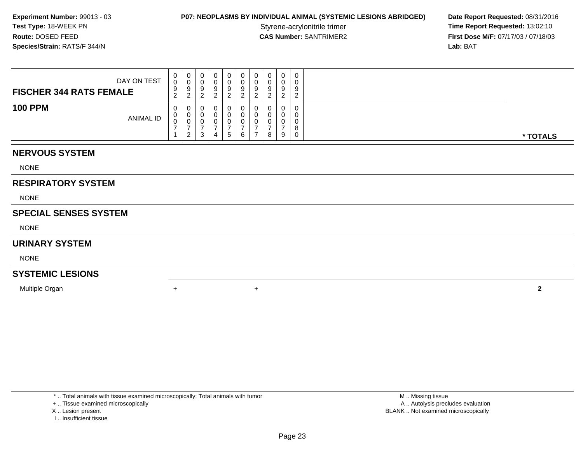### **P07: NEOPLASMS BY INDIVIDUAL ANIMAL (SYSTEMIC LESIONS ABRIDGED) Date Report Requested: 08/31/2016<br>Styrene-acrylonitrile trimer <b>Time Report Requested: 13:02:10**

Styrene-acrylonitrile trimer<br>
CAS Number: SANTRIMER2<br> **CAS Number:** SANTRIMER2<br> **Time Report Requested:** 13:02:10<br> **First Dose M/F:** 07/17/03 / 07/18/03 **First Dose M/F:** 07/17/03 / 07/18/03<br>**Lab:** BAT **Lab:** BAT

| DAY ON TEST<br><b>FISCHER 344 RATS FEMALE</b> | 0<br>0<br>9<br>$\sim$<br><u>_</u> | - ರ | U<br>У |   | 0<br>9            | 0<br>υ<br>9      | 9 |   | $\cap$<br>g<br>_ | 0<br>0<br>9<br>◠<br>$\epsilon$ |          |
|-----------------------------------------------|-----------------------------------|-----|--------|---|-------------------|------------------|---|---|------------------|--------------------------------|----------|
| <b>100 PPM</b><br><b>ANIMAL ID</b>            | 0<br>0<br>0                       |     | ບ<br>J | 4 | 0<br>$\mathbf{p}$ | U<br>υ<br>υ<br>6 |   | 8 | U<br>9           | 0<br>0<br>0<br>8<br>0          | * TOTALS |

#### **NERVOUS SYSTEM**

NONE

### **RESPIRATORY SYSTEM**

NONE

#### **SPECIAL SENSES SYSTEM**

NONE

#### **URINARY SYSTEM**

NONE

### **SYSTEMIC LESIONS**

Multiple Organn  $+$ 

\* .. Total animals with tissue examined microscopically; Total animals with tumor

+ .. Tissue examined microscopically

X .. Lesion present

I .. Insufficient tissue

 M .. Missing tissuey the contract of the contract of the contract of the contract of the contract of the contract of the contract of  $A$ . Autolysis precludes evaluation Lesion present BLANK .. Not examined microscopically

<sup>+</sup> **<sup>2</sup>**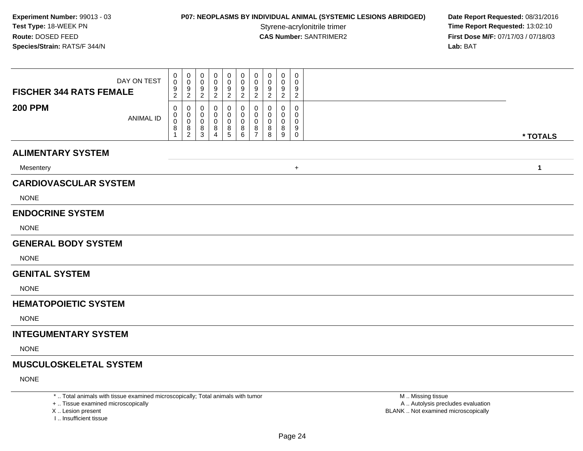# **P07: NEOPLASMS BY INDIVIDUAL ANIMAL (SYSTEMIC LESIONS ABRIDGED) Date Report Requested: 08/31/2016<br>Styrene-acrylonitrile trimer <b>Time Report Requested: 13:02:10**

Styrene-acrylonitrile trimer<br> **CAS Number:** SANTRIMER2<br> **CAS Number:** SANTRIMER2<br> **Time Report Requested:** 13:02:10 **First Dose M/F:** 07/17/03 / 07/18/03<br>Lab: BAT **Lab:** BAT

| DAY ON TEST<br><b>FISCHER 344 RATS FEMALE</b> | 0<br>$\mathbf 0$<br>9<br>$\overline{c}$ | 0<br>$\mathbf 0$<br>9<br>$\sqrt{2}$                    | 0<br>0<br>9<br>$\overline{c}$ | 0<br>0<br>9<br>$\overline{c}$ | 0<br>0<br>9<br>$\boldsymbol{2}$ | 0<br>0<br>9<br>$\overline{a}$ | 0<br>0<br>9<br>$\overline{2}$                                    | 0<br>9<br>$\overline{c}$ | $\mathbf 0$<br>0<br>9<br>$\sqrt{2}$ | 0<br>0<br>9<br>$\overline{c}$   |              |
|-----------------------------------------------|-----------------------------------------|--------------------------------------------------------|-------------------------------|-------------------------------|---------------------------------|-------------------------------|------------------------------------------------------------------|--------------------------|-------------------------------------|---------------------------------|--------------|
| <b>200 PPM</b><br><b>ANIMAL ID</b>            | 0<br>0<br>0<br>8                        | 0<br>$\mathbf 0$<br>$\mathbf 0$<br>8<br>$\overline{2}$ | 0<br>0<br>0<br>8<br>3         | 0<br>0<br>0<br>8<br>4         | 0<br>0<br>0<br>$^8$ 5           | 0<br>0<br>0<br>$\frac{8}{6}$  | $\mathbf 0$<br>$\mathbf 0$<br>$\mathbf 0$<br>8<br>$\overline{7}$ | 0<br>0<br>8<br>8         | 0<br>$\Omega$<br>0<br>8<br>9        | 0<br>0<br>0<br>9<br>$\mathbf 0$ | * TOTALS     |
| <b>ALIMENTARY SYSTEM</b>                      |                                         |                                                        |                               |                               |                                 |                               |                                                                  |                          |                                     |                                 |              |
| Mesentery                                     |                                         |                                                        |                               |                               |                                 |                               |                                                                  |                          |                                     | $\ddot{}$                       | $\mathbf{1}$ |
| <b>CARDIOVASCULAR SYSTEM</b>                  |                                         |                                                        |                               |                               |                                 |                               |                                                                  |                          |                                     |                                 |              |
| <b>NONE</b>                                   |                                         |                                                        |                               |                               |                                 |                               |                                                                  |                          |                                     |                                 |              |
| <b>ENDOCRINE SYSTEM</b>                       |                                         |                                                        |                               |                               |                                 |                               |                                                                  |                          |                                     |                                 |              |
| <b>NONE</b>                                   |                                         |                                                        |                               |                               |                                 |                               |                                                                  |                          |                                     |                                 |              |
| <b>GENERAL BODY SYSTEM</b>                    |                                         |                                                        |                               |                               |                                 |                               |                                                                  |                          |                                     |                                 |              |
| <b>NONE</b>                                   |                                         |                                                        |                               |                               |                                 |                               |                                                                  |                          |                                     |                                 |              |
| <b>GENITAL SYSTEM</b>                         |                                         |                                                        |                               |                               |                                 |                               |                                                                  |                          |                                     |                                 |              |
| <b>NONE</b>                                   |                                         |                                                        |                               |                               |                                 |                               |                                                                  |                          |                                     |                                 |              |
| <b>HEMATOPOIETIC SYSTEM</b>                   |                                         |                                                        |                               |                               |                                 |                               |                                                                  |                          |                                     |                                 |              |
| <b>NONE</b>                                   |                                         |                                                        |                               |                               |                                 |                               |                                                                  |                          |                                     |                                 |              |
| <b>INTEGUMENTARY SYSTEM</b>                   |                                         |                                                        |                               |                               |                                 |                               |                                                                  |                          |                                     |                                 |              |
| <b>NONE</b>                                   |                                         |                                                        |                               |                               |                                 |                               |                                                                  |                          |                                     |                                 |              |
| <b>MUSCULOSKELETAL SYSTEM</b>                 |                                         |                                                        |                               |                               |                                 |                               |                                                                  |                          |                                     |                                 |              |
| <b>NONE</b>                                   |                                         |                                                        |                               |                               |                                 |                               |                                                                  |                          |                                     |                                 |              |

\* .. Total animals with tissue examined microscopically; Total animals with tumor

+ .. Tissue examined microscopically

X .. Lesion present

I .. Insufficient tissue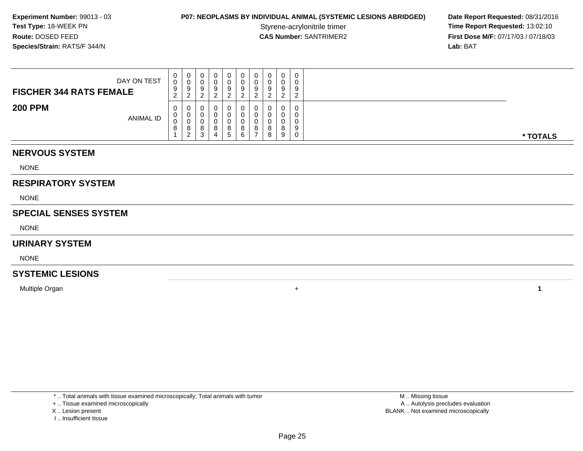### **P07: NEOPLASMS BY INDIVIDUAL ANIMAL (SYSTEMIC LESIONS ABRIDGED) Date Report Requested: 08/31/2016<br>Styrene-acrylonitrile trimer <b>Time Report Requested: 13:02:10**

Styrene-acrylonitrile trimer<br>
CAS Number: SANTRIMER2<br> **CAS Number:** SANTRIMER2<br> **Time Report Requested:** 13:02:10<br> **First Dose M/F:** 07/17/03 / 07/18/03 **First Dose M/F:** 07/17/03 / 07/18/03<br>**Lab:** BAT **Lab:** BAT

| DAY ON TEST<br><b>FISCHER 344 RATS FEMALE</b> | 0<br>0<br>9<br>$\sim$<br>∼ | J | 0           |   | 0<br>9                              | 0<br>v<br>У            | 0<br>v<br>9<br>$\sim$ |   | $\Omega$<br>U<br>$\Omega$<br>▃ | 0<br>0<br>9<br>$\sqrt{2}$<br><u>_</u> |          |
|-----------------------------------------------|----------------------------|---|-------------|---|-------------------------------------|------------------------|-----------------------|---|--------------------------------|---------------------------------------|----------|
| <b>200 PPM</b><br><b>ANIMAL ID</b>            | 0<br>0<br>0<br>8           |   | ັ<br>o<br>د | o | Ü<br>$\circ$<br>$\circ$<br><u>5</u> | ν<br>$\circ$<br>o<br>ь | 0<br>υ<br>ັບ<br>8     | 8 | U<br>u<br>8<br>9               | 0<br>0<br>0<br>9<br>0                 | * TOTALS |

### **NERVOUS SYSTEM**

NONE

### **RESPIRATORY SYSTEM**

NONE

#### **SPECIAL SENSES SYSTEM**

NONE

#### **URINARY SYSTEM**

NONE

### **SYSTEMIC LESIONS**

Multiple Organn  $+$ 

\* .. Total animals with tissue examined microscopically; Total animals with tumor

#### + .. Tissue examined microscopically

X .. Lesion present

I .. Insufficient tissue

 M .. Missing tissuey the contract of the contract of the contract of the contract of the contract of the contract of the contract of  $A$ . Autolysis precludes evaluation Lesion present BLANK .. Not examined microscopically

**<sup>1</sup>**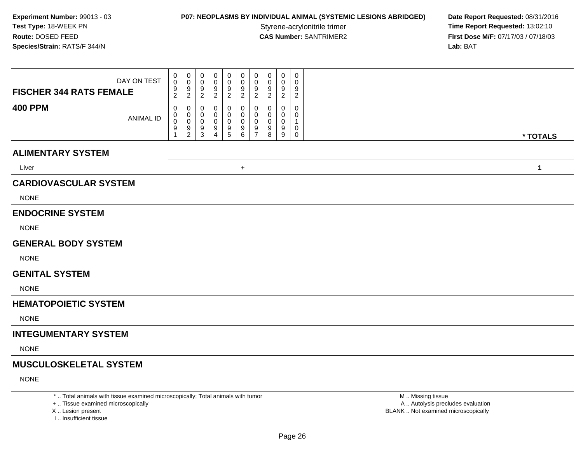## **P07: NEOPLASMS BY INDIVIDUAL ANIMAL (SYSTEMIC LESIONS ABRIDGED) Date Report Requested: 08/31/2016<br>Styrene-acrylonitrile trimer <b>Time Report Requested: 13:02:10**

Styrene-acrylonitrile trimer<br> **CAS Number:** SANTRIMER2<br> **CAS Number:** SANTRIMER2<br> **Time Report Requested:** 13:02:10 **First Dose M/F:** 07/17/03 / 07/18/03<br>Lab: BAT **Lab:** BAT

| DAY ON TEST<br><b>FISCHER 344 RATS FEMALE</b> | $\boldsymbol{0}$<br>$\mathsf 0$<br>$\frac{9}{2}$ | $\boldsymbol{0}$<br>$\mathbf 0$<br>9<br>$\overline{2}$ | 0<br>$\Omega$<br>9<br>2 | 0<br>0<br>9<br>$\overline{2}$      | 0<br>0<br>9<br>2             | 0<br>0<br>$\frac{9}{2}$ | 0<br>0<br>9<br>$\overline{2}$             | $\mathbf 0$<br>0<br>9<br>$\overline{2}$ | 0<br>0<br>9<br>$\overline{2}$ | 0<br>0<br>9<br>$\overline{c}$ |              |
|-----------------------------------------------|--------------------------------------------------|--------------------------------------------------------|-------------------------|------------------------------------|------------------------------|-------------------------|-------------------------------------------|-----------------------------------------|-------------------------------|-------------------------------|--------------|
| <b>400 PPM</b><br><b>ANIMAL ID</b>            | 0<br>0<br>0<br>9                                 | 0<br>0<br>$\mathbf 0$<br>$9\,$<br>$\overline{2}$       | 0<br>0<br>0<br>9<br>3   | 0<br>0<br>0<br>9<br>$\overline{4}$ | 0<br>0<br>0<br>$\frac{9}{5}$ | 0<br>0<br>0<br>$^9$ 6   | $\Omega$<br>0<br>0<br>9<br>$\overline{7}$ | 0<br>0<br>0<br>9<br>8                   | $\Omega$<br>0<br>0<br>9<br>9  | 0<br>0<br>1<br>0<br>0         | * TOTALS     |
| <b>ALIMENTARY SYSTEM</b>                      |                                                  |                                                        |                         |                                    |                              |                         |                                           |                                         |                               |                               |              |
| Liver                                         |                                                  |                                                        |                         |                                    |                              | $+$                     |                                           |                                         |                               |                               | $\mathbf{1}$ |
| <b>CARDIOVASCULAR SYSTEM</b>                  |                                                  |                                                        |                         |                                    |                              |                         |                                           |                                         |                               |                               |              |
| <b>NONE</b>                                   |                                                  |                                                        |                         |                                    |                              |                         |                                           |                                         |                               |                               |              |
| <b>ENDOCRINE SYSTEM</b>                       |                                                  |                                                        |                         |                                    |                              |                         |                                           |                                         |                               |                               |              |
| <b>NONE</b>                                   |                                                  |                                                        |                         |                                    |                              |                         |                                           |                                         |                               |                               |              |
| <b>GENERAL BODY SYSTEM</b>                    |                                                  |                                                        |                         |                                    |                              |                         |                                           |                                         |                               |                               |              |
| <b>NONE</b>                                   |                                                  |                                                        |                         |                                    |                              |                         |                                           |                                         |                               |                               |              |
| <b>GENITAL SYSTEM</b>                         |                                                  |                                                        |                         |                                    |                              |                         |                                           |                                         |                               |                               |              |
| <b>NONE</b>                                   |                                                  |                                                        |                         |                                    |                              |                         |                                           |                                         |                               |                               |              |
| <b>HEMATOPOIETIC SYSTEM</b>                   |                                                  |                                                        |                         |                                    |                              |                         |                                           |                                         |                               |                               |              |
| <b>NONE</b>                                   |                                                  |                                                        |                         |                                    |                              |                         |                                           |                                         |                               |                               |              |
| <b>INTEGUMENTARY SYSTEM</b>                   |                                                  |                                                        |                         |                                    |                              |                         |                                           |                                         |                               |                               |              |
| <b>NONE</b>                                   |                                                  |                                                        |                         |                                    |                              |                         |                                           |                                         |                               |                               |              |
| <b>MUSCULOSKELETAL SYSTEM</b>                 |                                                  |                                                        |                         |                                    |                              |                         |                                           |                                         |                               |                               |              |
| <b>NONE</b>                                   |                                                  |                                                        |                         |                                    |                              |                         |                                           |                                         |                               |                               |              |

\* .. Total animals with tissue examined microscopically; Total animals with tumor

+ .. Tissue examined microscopically

X .. Lesion present

I .. Insufficient tissue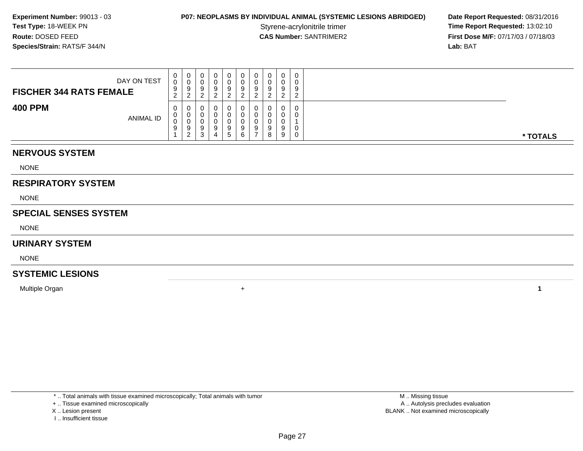### **P07: NEOPLASMS BY INDIVIDUAL ANIMAL (SYSTEMIC LESIONS ABRIDGED) Date Report Requested: 08/31/2016<br>Styrene-acrylonitrile trimer <b>Time Report Requested: 13:02:10**

Styrene-acrylonitrile trimer<br>
CAS Number: SANTRIMER2<br> **CAS Number:** SANTRIMER2<br> **Time Report Requested:** 13:02:10<br> **First Dose M/F:** 07/17/03 / 07/18/03 **First Dose M/F:** 07/17/03 / 07/18/03<br>**Lab:** BAT **Lab:** BAT

| DAY ON TEST<br><b>FISCHER 344 RATS FEMALE</b> | 0<br>0<br>9<br>$\sim$<br>$\epsilon$ | ູ        |   | u<br>▃      | 0<br>0<br>9           | 0<br>v           | 0<br>υ<br>9<br>ີ |   | $\Omega$<br>U<br>$\Omega$<br>_ | 0<br>0<br>9<br>$\sqrt{2}$<br><u>_</u> |          |
|-----------------------------------------------|-------------------------------------|----------|---|-------------|-----------------------|------------------|------------------|---|--------------------------------|---------------------------------------|----------|
| <b>400 PPM</b><br>ANIMAL ID                   | 0<br>0<br>0<br>9                    | 9<br>- 2 | ت | u<br>u<br>9 | 0<br>U<br>υ<br>9<br>5 | U<br>v<br>9<br>6 | 0<br>0<br>υ<br>9 | 8 | U<br>u<br>9<br>9               | 0<br>0<br>0<br>0                      | * TOTALS |

#### **NERVOUS SYSTEM**

NONE

### **RESPIRATORY SYSTEM**

NONE

#### **SPECIAL SENSES SYSTEM**

NONE

#### **URINARY SYSTEM**

NONE

### **SYSTEMIC LESIONS**

Multiple Organn  $+$ 

\* .. Total animals with tissue examined microscopically; Total animals with tumor

+ .. Tissue examined microscopically

X .. Lesion present

I .. Insufficient tissue

 M .. Missing tissuey the contract of the contract of the contract of the contract of the contract of the contract of the contract of  $A$ . Autolysis precludes evaluation Lesion present BLANK .. Not examined microscopically

**<sup>1</sup>**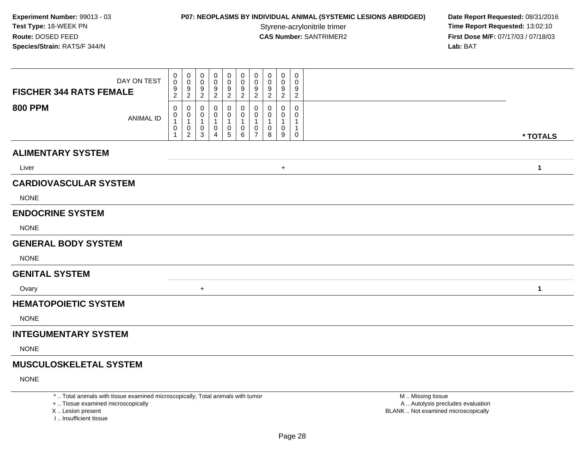## **P07: NEOPLASMS BY INDIVIDUAL ANIMAL (SYSTEMIC LESIONS ABRIDGED) Date Report Requested: 08/31/2016<br>Styrene-acrylonitrile trimer <b>Time Report Requested: 13:02:10**

Styrene-acrylonitrile trimer<br> **CAS Number:** SANTRIMER2<br> **CAS Number:** SANTRIMER2<br> **Time Report Requested:** 13:02:10 **First Dose M/F:** 07/17/03 / 07/18/03<br>Lab: BAT **Lab:** BAT

| <b>FISCHER 344 RATS FEMALE</b> | DAY ON TEST      | 0<br>0<br>$\frac{9}{2}$            | 0<br>$\mathbf 0$<br>$\boldsymbol{9}$<br>$\overline{c}$ | 0<br>0<br>9<br>$\overline{c}$    | 0<br>0<br>9<br>$\boldsymbol{2}$ | 0<br>0<br>$\frac{9}{2}$                                         | 0<br>0<br>$\frac{9}{2}$                                        | 0<br>0<br>$\frac{9}{2}$                 | 0<br>0<br>9<br>$\boldsymbol{2}$ | 0<br>0<br>9<br>$\overline{c}$ | $\mathbf 0$<br>0<br>9<br>$\overline{c}$ |              |
|--------------------------------|------------------|------------------------------------|--------------------------------------------------------|----------------------------------|---------------------------------|-----------------------------------------------------------------|----------------------------------------------------------------|-----------------------------------------|---------------------------------|-------------------------------|-----------------------------------------|--------------|
| <b>800 PPM</b>                 | <b>ANIMAL ID</b> | 0<br>0<br>$\overline{1}$<br>0<br>1 | 0<br>0<br>$\mathbf{1}$<br>$\pmb{0}$<br>$\overline{2}$  | 0<br>0<br>$\mathbf{1}$<br>0<br>3 | 0<br>0<br>$\mathbf 1$<br>0<br>4 | 0<br>0<br>$\mathbf{1}$<br>$\begin{array}{c} 0 \\ 5 \end{array}$ | 0<br>0<br>$\mathbf{1}$<br>$\begin{matrix} 0 \\ 6 \end{matrix}$ | 0<br>0<br>$\mathbf{1}$<br>$\frac{0}{7}$ | 0<br>-1<br>0<br>8               | 0<br>0<br>1<br>0<br>9         | 0<br>0<br>1<br>$\mathbf 0$              | * TOTALS     |
| <b>ALIMENTARY SYSTEM</b>       |                  |                                    |                                                        |                                  |                                 |                                                                 |                                                                |                                         |                                 |                               |                                         |              |
| Liver                          |                  |                                    |                                                        |                                  |                                 |                                                                 |                                                                |                                         |                                 | $\ddot{}$                     |                                         | $\mathbf{1}$ |
| <b>CARDIOVASCULAR SYSTEM</b>   |                  |                                    |                                                        |                                  |                                 |                                                                 |                                                                |                                         |                                 |                               |                                         |              |
| <b>NONE</b>                    |                  |                                    |                                                        |                                  |                                 |                                                                 |                                                                |                                         |                                 |                               |                                         |              |
| <b>ENDOCRINE SYSTEM</b>        |                  |                                    |                                                        |                                  |                                 |                                                                 |                                                                |                                         |                                 |                               |                                         |              |
| <b>NONE</b>                    |                  |                                    |                                                        |                                  |                                 |                                                                 |                                                                |                                         |                                 |                               |                                         |              |
| <b>GENERAL BODY SYSTEM</b>     |                  |                                    |                                                        |                                  |                                 |                                                                 |                                                                |                                         |                                 |                               |                                         |              |
| <b>NONE</b>                    |                  |                                    |                                                        |                                  |                                 |                                                                 |                                                                |                                         |                                 |                               |                                         |              |
| <b>GENITAL SYSTEM</b>          |                  |                                    |                                                        |                                  |                                 |                                                                 |                                                                |                                         |                                 |                               |                                         |              |
| Ovary                          |                  |                                    |                                                        | $\ddot{}$                        |                                 |                                                                 |                                                                |                                         |                                 |                               |                                         | 1            |
| <b>HEMATOPOIETIC SYSTEM</b>    |                  |                                    |                                                        |                                  |                                 |                                                                 |                                                                |                                         |                                 |                               |                                         |              |
| <b>NONE</b>                    |                  |                                    |                                                        |                                  |                                 |                                                                 |                                                                |                                         |                                 |                               |                                         |              |
| <b>INTEGUMENTARY SYSTEM</b>    |                  |                                    |                                                        |                                  |                                 |                                                                 |                                                                |                                         |                                 |                               |                                         |              |
| <b>NONE</b>                    |                  |                                    |                                                        |                                  |                                 |                                                                 |                                                                |                                         |                                 |                               |                                         |              |
| <b>MUSCULOSKELETAL SYSTEM</b>  |                  |                                    |                                                        |                                  |                                 |                                                                 |                                                                |                                         |                                 |                               |                                         |              |
| <b>NONE</b>                    |                  |                                    |                                                        |                                  |                                 |                                                                 |                                                                |                                         |                                 |                               |                                         |              |

\* .. Total animals with tissue examined microscopically; Total animals with tumor

+ .. Tissue examined microscopically

X .. Lesion present

I .. Insufficient tissue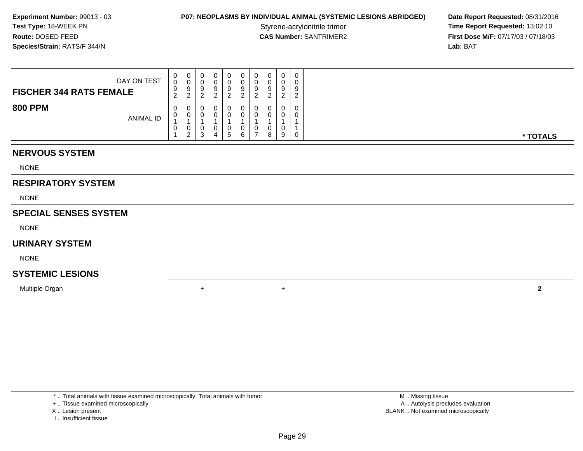### **P07: NEOPLASMS BY INDIVIDUAL ANIMAL (SYSTEMIC LESIONS ABRIDGED) Date Report Requested: 08/31/2016<br>Styrene-acrylonitrile trimer <b>Time Report Requested: 13:02:10**

Styrene-acrylonitrile trimer<br>
CAS Number: SANTRIMER2<br> **CAS Number:** SANTRIMER2<br> **Time Report Requested:** 13:02:10<br> **First Dose M/F:** 07/17/03 / 07/18/03 **First Dose M/F:** 07/17/03 / 07/18/03<br>**Lab:** BAT **Lab:** BAT

| DAY ON TEST<br><b>FISCHER 344 RATS FEMALE</b> | 0<br>0<br>9<br>$\sim$<br>$\epsilon$ | U<br>9<br>റ      | u | 0<br>9            | $\mathbf{0}$<br>9<br><u>.</u> | 0<br>0<br>9<br>ົ                        |   | 0<br>$\Omega$<br><u>.</u> | 0<br>0<br>9<br>$\Omega$<br><u>_</u> |          |
|-----------------------------------------------|-------------------------------------|------------------|---|-------------------|-------------------------------|-----------------------------------------|---|---------------------------|-------------------------------------|----------|
| <b>800 PPM</b><br>ANIMAL ID                   | $\mathbf{0}$<br>U<br>U              | U<br>υ<br>U<br>ົ |   | U<br>0.<br>0<br>5 | 0<br>0<br>6                   | U<br>0<br>0<br>$\overline{\phantom{a}}$ | 8 | 0<br>9                    | 0<br>0<br>0                         | * TOTALS |

#### **NERVOUS SYSTEM**

NONE

### **RESPIRATORY SYSTEM**

NONE

#### **SPECIAL SENSES SYSTEM**

NONE

#### **URINARY SYSTEM**

NONE

### **SYSTEMIC LESIONS**

Multiple Organn  $+$ 

\* .. Total animals with tissue examined microscopically; Total animals with tumor

#### + .. Tissue examined microscopically

- X .. Lesion present
- I .. Insufficient tissue

<sup>+</sup> **<sup>2</sup>**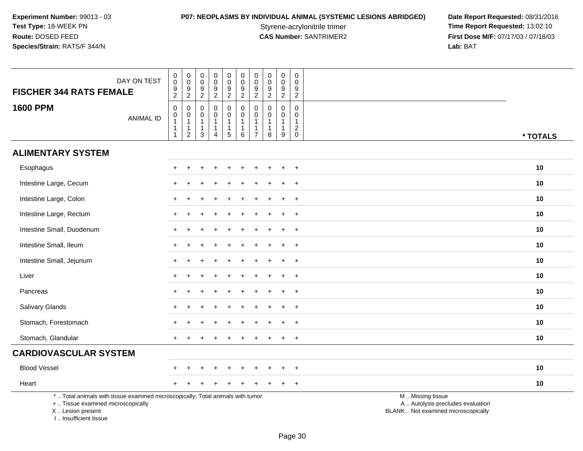**P07: NEOPLASMS BY INDIVIDUAL ANIMAL (SYSTEMIC LESIONS ABRIDGED) Date Report Requested: 08/31/2016<br>Styrene-acrylonitrile trimer <b>Time Report Requested: 13:02:10** Styrene-acrylonitrile trimer<br>
CAS Number: SANTRIMER2<br>
CAS Number: SANTRIMER2<br>
Tirst Dose M/F: 07/17/03 / 07/18/03 **First Dose M/F:** 07/17/03 / 07/18/03<br>Lab: BAT **Lab:** BAT

| <b>FISCHER 344 RATS FEMALE</b>                                                                                                                                        | DAY ON TEST      | 0<br>$\tilde{0}$<br>$\frac{9}{2}$                                  | $_{\rm 0}^{\rm 0}$<br>$\frac{9}{2}$                             | $\begin{smallmatrix} 0\\0 \end{smallmatrix}$<br>$\frac{9}{2}$                | $\pmb{0}$<br>$\pmb{0}$<br>$\boldsymbol{9}$<br>$\overline{c}$                         | $\pmb{0}$<br>$\overline{0}$<br>$\frac{9}{2}$                       | $\begin{smallmatrix} 0\\0 \end{smallmatrix}$<br>$\frac{9}{2}$         | $\pmb{0}$<br>$\pmb{0}$<br>$\boldsymbol{9}$<br>$\overline{2}$                 | $\pmb{0}$<br>$\mathsf{O}\xspace$<br>$\boldsymbol{9}$<br>$\overline{2}$ | $\begin{smallmatrix} 0\\0 \end{smallmatrix}$<br>$\frac{9}{2}$   | 0<br>$\Omega$<br>9<br>$\sqrt{2}$                              |                                                                                               |          |
|-----------------------------------------------------------------------------------------------------------------------------------------------------------------------|------------------|--------------------------------------------------------------------|-----------------------------------------------------------------|------------------------------------------------------------------------------|--------------------------------------------------------------------------------------|--------------------------------------------------------------------|-----------------------------------------------------------------------|------------------------------------------------------------------------------|------------------------------------------------------------------------|-----------------------------------------------------------------|---------------------------------------------------------------|-----------------------------------------------------------------------------------------------|----------|
| <b>1600 PPM</b>                                                                                                                                                       | <b>ANIMAL ID</b> | $\mathbf 0$<br>0<br>$\mathbf{1}$<br>$\mathbf{1}$<br>$\overline{1}$ | 0<br>$\pmb{0}$<br>$\mathbf{1}$<br>$\mathbf 1$<br>$\overline{c}$ | $\mathbf 0$<br>$\mathbf 0$<br>$\mathbf{1}$<br>$\overline{1}$<br>$\mathbf{3}$ | $\mathbf 0$<br>$\mathbf 0$<br>$\mathbf{1}$<br>$\mathbf{1}$<br>$\boldsymbol{\Lambda}$ | 0<br>$\mathbf 0$<br>$\mathbf{1}$<br>$\mathbf{1}$<br>$\overline{5}$ | $\pmb{0}$<br>$\mathsf{O}\xspace$<br>$\mathbf{1}$<br>$\mathbf{1}$<br>6 | $\mathbf 0$<br>$\mathbf 0$<br>$\mathbf{1}$<br>$\mathbf{1}$<br>$\overline{7}$ | $\mathbf 0$<br>$\mathbf 0$<br>$\mathbf{1}$<br>$\mathbf{1}$<br>8        | $\mathbf 0$<br>$\mathbf 0$<br>$\mathbf{1}$<br>$\mathbf{1}$<br>9 | $\mathbf 0$<br>0<br>$\mathbf{1}$<br>$\sqrt{2}$<br>$\mathbf 0$ |                                                                                               | * TOTALS |
| <b>ALIMENTARY SYSTEM</b>                                                                                                                                              |                  |                                                                    |                                                                 |                                                                              |                                                                                      |                                                                    |                                                                       |                                                                              |                                                                        |                                                                 |                                                               |                                                                                               |          |
| Esophagus                                                                                                                                                             |                  | $+$                                                                | $\ddot{}$                                                       |                                                                              |                                                                                      | $\div$                                                             |                                                                       |                                                                              |                                                                        |                                                                 | $+$                                                           |                                                                                               | 10       |
| Intestine Large, Cecum                                                                                                                                                |                  |                                                                    |                                                                 |                                                                              |                                                                                      |                                                                    |                                                                       |                                                                              |                                                                        |                                                                 | $+$                                                           |                                                                                               | 10       |
| Intestine Large, Colon                                                                                                                                                |                  |                                                                    |                                                                 |                                                                              |                                                                                      |                                                                    |                                                                       |                                                                              |                                                                        |                                                                 | $\div$                                                        |                                                                                               | 10       |
| Intestine Large, Rectum                                                                                                                                               |                  | $+$                                                                |                                                                 |                                                                              |                                                                                      |                                                                    |                                                                       |                                                                              |                                                                        |                                                                 | $+$                                                           |                                                                                               | 10       |
| Intestine Small, Duodenum                                                                                                                                             |                  |                                                                    |                                                                 |                                                                              |                                                                                      |                                                                    |                                                                       |                                                                              |                                                                        |                                                                 | $\ddot{}$                                                     |                                                                                               | 10       |
| Intestine Small, Ileum                                                                                                                                                |                  |                                                                    |                                                                 |                                                                              |                                                                                      |                                                                    |                                                                       |                                                                              |                                                                        |                                                                 | $\ddot{}$                                                     |                                                                                               | 10       |
| Intestine Small, Jejunum                                                                                                                                              |                  | $\pm$                                                              | <b>+</b>                                                        |                                                                              |                                                                                      |                                                                    |                                                                       |                                                                              |                                                                        | $\div$                                                          | $+$                                                           |                                                                                               | 10       |
| Liver                                                                                                                                                                 |                  |                                                                    |                                                                 |                                                                              |                                                                                      |                                                                    |                                                                       |                                                                              |                                                                        |                                                                 | $+$                                                           |                                                                                               | 10       |
| Pancreas                                                                                                                                                              |                  |                                                                    |                                                                 |                                                                              |                                                                                      |                                                                    |                                                                       |                                                                              |                                                                        |                                                                 | $\ddot{}$                                                     |                                                                                               | 10       |
| Salivary Glands                                                                                                                                                       |                  |                                                                    |                                                                 |                                                                              |                                                                                      |                                                                    |                                                                       |                                                                              |                                                                        |                                                                 | $\ddot{}$                                                     |                                                                                               | 10       |
| Stomach, Forestomach                                                                                                                                                  |                  |                                                                    |                                                                 |                                                                              |                                                                                      |                                                                    |                                                                       |                                                                              |                                                                        |                                                                 | $+$                                                           |                                                                                               | 10       |
| Stomach, Glandular                                                                                                                                                    |                  | $+$                                                                |                                                                 |                                                                              |                                                                                      |                                                                    |                                                                       |                                                                              |                                                                        |                                                                 | $\overline{+}$                                                |                                                                                               | 10       |
| <b>CARDIOVASCULAR SYSTEM</b>                                                                                                                                          |                  |                                                                    |                                                                 |                                                                              |                                                                                      |                                                                    |                                                                       |                                                                              |                                                                        |                                                                 |                                                               |                                                                                               |          |
| <b>Blood Vessel</b>                                                                                                                                                   |                  |                                                                    |                                                                 |                                                                              |                                                                                      |                                                                    |                                                                       |                                                                              |                                                                        |                                                                 | $\pm$                                                         |                                                                                               | 10       |
| Heart                                                                                                                                                                 |                  |                                                                    |                                                                 |                                                                              |                                                                                      |                                                                    |                                                                       |                                                                              |                                                                        |                                                                 | $+$                                                           |                                                                                               | 10       |
| *  Total animals with tissue examined microscopically; Total animals with tumor<br>+  Tissue examined microscopically<br>X  Lesion present<br>L., Insufficient tissue |                  |                                                                    |                                                                 |                                                                              |                                                                                      |                                                                    |                                                                       |                                                                              |                                                                        |                                                                 |                                                               | M  Missing tissue<br>A  Autolysis precludes evaluation<br>BLANK  Not examined microscopically |          |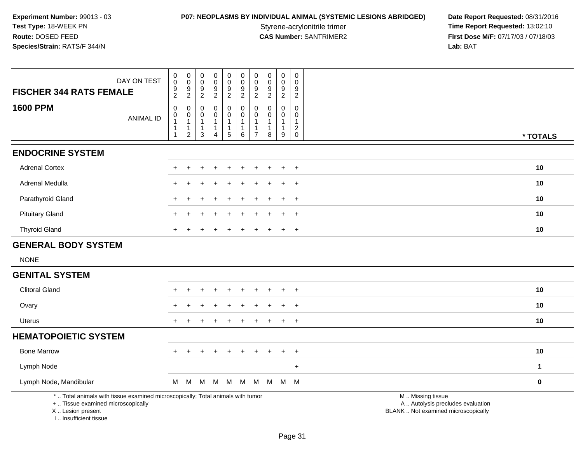# **P07: NEOPLASMS BY INDIVIDUAL ANIMAL (SYSTEMIC LESIONS ABRIDGED) Date Report Requested: 08/31/2016<br>Styrene-acrylonitrile trimer <b>Time Report Requested: 13:02:10**

Styrene-acrylonitrile trimer<br> **CAS Number:** SANTRIMER2 **Time Report Requested:** 13:02:10<br> **Time Report Requested:** 13:02:10 **First Dose M/F:** 07/17/03 / 07/18/03<br>Lab: BAT **Lab:** BAT

| DAY ON TEST<br><b>FISCHER 344 RATS FEMALE</b>                                                                         | $\pmb{0}$<br>$\pmb{0}$<br>$\frac{9}{2}$                         | $\pmb{0}$<br>$\mathbf 0$<br>$\frac{9}{2}$                                | $\pmb{0}$<br>$\mathsf{O}\xspace$<br>$\frac{9}{2}$                          | 0<br>$\mathsf 0$<br>$\frac{9}{2}$                       | $\pmb{0}$<br>$\pmb{0}$<br>$\frac{9}{2}$                                            | $\pmb{0}$<br>$\mathbf 0$<br>$\boldsymbol{9}$<br>$\overline{2}$                  | $\pmb{0}$<br>$\pmb{0}$<br>9<br>$\overline{2}$         | $\pmb{0}$<br>$\pmb{0}$<br>9<br>$\overline{2}$     | $\pmb{0}$<br>$\mathsf{O}\xspace$<br>9<br>$\overline{2}$  | $\pmb{0}$<br>$\mathbf 0$<br>9<br>$\overline{2}$                           |                                                        |              |
|-----------------------------------------------------------------------------------------------------------------------|-----------------------------------------------------------------|--------------------------------------------------------------------------|----------------------------------------------------------------------------|---------------------------------------------------------|------------------------------------------------------------------------------------|---------------------------------------------------------------------------------|-------------------------------------------------------|---------------------------------------------------|----------------------------------------------------------|---------------------------------------------------------------------------|--------------------------------------------------------|--------------|
| <b>1600 PPM</b><br><b>ANIMAL ID</b>                                                                                   | $\pmb{0}$<br>$\pmb{0}$<br>$\overline{1}$<br>1<br>$\overline{1}$ | $\pmb{0}$<br>$\pmb{0}$<br>$\mathbf{1}$<br>$\mathbf{1}$<br>$\overline{2}$ | $\mathbf 0$<br>$\mathbf 0$<br>$\mathbf{1}$<br>$\mathbf{1}$<br>$\mathbf{3}$ | 0<br>0<br>$\mathbf{1}$<br>$\mathbf 1$<br>$\overline{4}$ | $\pmb{0}$<br>$\mathsf{O}\xspace$<br>$\mathbf{1}$<br>$\mathbf{1}$<br>$\overline{5}$ | $\mathbf 0$<br>$\mathsf{O}\xspace$<br>$\overline{1}$<br>$\mathbf{1}$<br>$\,6\,$ | $\mathbf{0}$<br>0<br>$\overline{1}$<br>$\overline{7}$ | $\mathbf 0$<br>$\Omega$<br>$\mathbf{1}$<br>1<br>8 | 0<br>$\mathbf 0$<br>$\mathbf{1}$<br>$\mathbf 1$<br>$9\,$ | $\pmb{0}$<br>$\mathbf 0$<br>$\mathbf{1}$<br>$\overline{c}$<br>$\mathbf 0$ |                                                        | * TOTALS     |
| <b>ENDOCRINE SYSTEM</b>                                                                                               |                                                                 |                                                                          |                                                                            |                                                         |                                                                                    |                                                                                 |                                                       |                                                   |                                                          |                                                                           |                                                        |              |
| <b>Adrenal Cortex</b>                                                                                                 |                                                                 |                                                                          |                                                                            |                                                         |                                                                                    |                                                                                 |                                                       |                                                   |                                                          | $+$                                                                       |                                                        | 10           |
| Adrenal Medulla                                                                                                       |                                                                 |                                                                          |                                                                            |                                                         |                                                                                    |                                                                                 |                                                       |                                                   | $\ddot{}$                                                | $\ddot{}$                                                                 |                                                        | 10           |
| Parathyroid Gland                                                                                                     |                                                                 |                                                                          |                                                                            |                                                         |                                                                                    |                                                                                 |                                                       |                                                   | $\div$                                                   | $\overline{+}$                                                            |                                                        | 10           |
| <b>Pituitary Gland</b>                                                                                                |                                                                 |                                                                          |                                                                            |                                                         |                                                                                    |                                                                                 |                                                       |                                                   | $\div$                                                   | $\overline{+}$                                                            |                                                        | 10           |
| <b>Thyroid Gland</b>                                                                                                  |                                                                 |                                                                          |                                                                            |                                                         |                                                                                    |                                                                                 |                                                       |                                                   |                                                          | $\ddot{}$                                                                 |                                                        | 10           |
| <b>GENERAL BODY SYSTEM</b>                                                                                            |                                                                 |                                                                          |                                                                            |                                                         |                                                                                    |                                                                                 |                                                       |                                                   |                                                          |                                                                           |                                                        |              |
| <b>NONE</b>                                                                                                           |                                                                 |                                                                          |                                                                            |                                                         |                                                                                    |                                                                                 |                                                       |                                                   |                                                          |                                                                           |                                                        |              |
| <b>GENITAL SYSTEM</b>                                                                                                 |                                                                 |                                                                          |                                                                            |                                                         |                                                                                    |                                                                                 |                                                       |                                                   |                                                          |                                                                           |                                                        |              |
| <b>Clitoral Gland</b>                                                                                                 |                                                                 |                                                                          |                                                                            |                                                         |                                                                                    |                                                                                 |                                                       |                                                   |                                                          | $\overline{+}$                                                            |                                                        | 10           |
| Ovary                                                                                                                 |                                                                 |                                                                          |                                                                            |                                                         |                                                                                    |                                                                                 |                                                       |                                                   |                                                          | $\overline{+}$                                                            |                                                        | 10           |
| Uterus                                                                                                                |                                                                 |                                                                          |                                                                            |                                                         |                                                                                    |                                                                                 |                                                       |                                                   | $\ddot{}$                                                | $+$                                                                       |                                                        | 10           |
| <b>HEMATOPOIETIC SYSTEM</b>                                                                                           |                                                                 |                                                                          |                                                                            |                                                         |                                                                                    |                                                                                 |                                                       |                                                   |                                                          |                                                                           |                                                        |              |
| <b>Bone Marrow</b>                                                                                                    |                                                                 |                                                                          |                                                                            |                                                         |                                                                                    |                                                                                 |                                                       |                                                   |                                                          | $\ddot{}$                                                                 |                                                        | 10           |
| Lymph Node                                                                                                            |                                                                 |                                                                          |                                                                            |                                                         |                                                                                    |                                                                                 |                                                       |                                                   |                                                          | $+$                                                                       |                                                        | $\mathbf{1}$ |
| Lymph Node, Mandibular                                                                                                | M                                                               | M                                                                        | M                                                                          | M                                                       | M                                                                                  | M                                                                               | M                                                     |                                                   | M M M                                                    |                                                                           |                                                        | $\mathbf 0$  |
| *  Total animals with tissue examined microscopically; Total animals with tumor<br>+  Tissue examined microscopically |                                                                 |                                                                          |                                                                            |                                                         |                                                                                    |                                                                                 |                                                       |                                                   |                                                          |                                                                           | M  Missing tissue<br>A  Autolysis precludes evaluation |              |

X .. Lesion present

I .. Insufficient tissue

Lesion present BLANK .. Not examined microscopically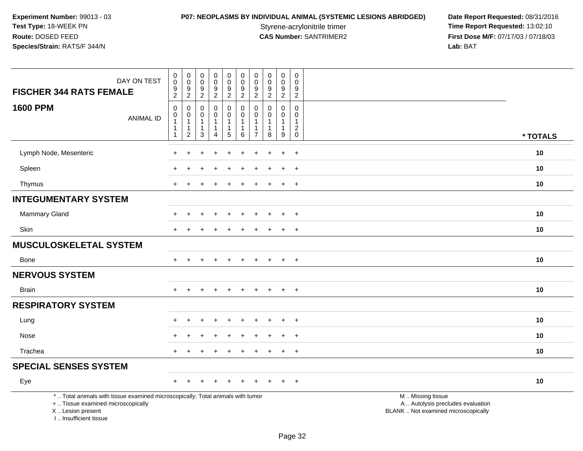# **P07: NEOPLASMS BY INDIVIDUAL ANIMAL (SYSTEMIC LESIONS ABRIDGED) Date Report Requested: 08/31/2016<br>Styrene-acrylonitrile trimer <b>Time Report Requested: 13:02:10**

Styrene-acrylonitrile trimer<br>
CAS Number: SANTRIMER2<br>
CAS Number: SANTRIMER2<br>
Tirst Dose M/F: 07/17/03 / 07/18/03 **First Dose M/F:** 07/17/03 / 07/18/03<br>Lab: BAT **Lab:** BAT

| DAY ON TEST<br><b>FISCHER 344 RATS FEMALE</b>                                                                                                                         | $\pmb{0}$<br>$\mathsf 0$<br>$\boldsymbol{9}$<br>$\overline{2}$               | $\,0\,$<br>$\mathbf 0$<br>$\overline{9}$<br>$\overline{2}$               | $\pmb{0}$<br>$\mathbf 0$<br>$\boldsymbol{9}$<br>$\sqrt{2}$              | $\pmb{0}$<br>$\frac{0}{9}$<br>$\overline{2}$ | $\pmb{0}$<br>$\mathbf 0$<br>$\frac{9}{2}$                                            | $\pmb{0}$<br>$\mathsf{O}\xspace$<br>$\boldsymbol{9}$<br>$\overline{2}$  | $\pmb{0}$<br>$\mathbf 0$<br>$\boldsymbol{9}$<br>$\overline{2}$ | $\pmb{0}$<br>$\mathsf{O}\xspace$<br>9<br>$\overline{2}$ | $\pmb{0}$<br>$\mathbf 0$<br>$\overline{9}$<br>$\overline{2}$         | $\mathsf{O}\xspace$<br>$\mathbf 0$<br>9<br>$\overline{2}$         |                                                                                               |  |
|-----------------------------------------------------------------------------------------------------------------------------------------------------------------------|------------------------------------------------------------------------------|--------------------------------------------------------------------------|-------------------------------------------------------------------------|----------------------------------------------|--------------------------------------------------------------------------------------|-------------------------------------------------------------------------|----------------------------------------------------------------|---------------------------------------------------------|----------------------------------------------------------------------|-------------------------------------------------------------------|-----------------------------------------------------------------------------------------------|--|
| <b>1600 PPM</b><br><b>ANIMAL ID</b>                                                                                                                                   | $\mathbf 0$<br>$\pmb{0}$<br>$\overline{1}$<br>$\mathbf{1}$<br>$\overline{1}$ | $\mathbf 0$<br>$\pmb{0}$<br>$\overline{1}$<br>$\mathbf{1}$<br>$\sqrt{2}$ | $\mathbf 0$<br>$\pmb{0}$<br>$\mathbf{1}$<br>$\mathbf{1}$<br>$\mathsf 3$ | 0<br>0<br>$\mathbf{1}$<br>$\mathbf{1}$<br>4  | $\mathbf 0$<br>$\mathsf{O}\xspace$<br>$\mathbf{1}$<br>$\mathbf{1}$<br>$\overline{5}$ | $\mathbf 0$<br>$\mathbf 0$<br>$\mathbf{1}$<br>$\overline{1}$<br>$\,6\,$ | $\Omega$<br>0<br>$\overline{1}$<br>-1<br>$\overline{7}$        | $\mathbf 0$<br>$\Omega$<br>1<br>1<br>8                  | $\mathbf 0$<br>0<br>$\mathbf{1}$<br>$\mathbf{1}$<br>$\boldsymbol{9}$ | 0<br>$\mathbf 0$<br>$\mathbf{1}$<br>$\overline{c}$<br>$\mathbf 0$ | * TOTALS                                                                                      |  |
| Lymph Node, Mesenteric                                                                                                                                                |                                                                              |                                                                          |                                                                         |                                              |                                                                                      |                                                                         |                                                                |                                                         | $\ddot{}$                                                            | $\ddot{}$                                                         | 10                                                                                            |  |
| Spleen                                                                                                                                                                |                                                                              |                                                                          |                                                                         |                                              |                                                                                      |                                                                         |                                                                |                                                         |                                                                      | $\ddot{}$                                                         | 10                                                                                            |  |
| Thymus                                                                                                                                                                |                                                                              |                                                                          |                                                                         |                                              |                                                                                      |                                                                         |                                                                |                                                         | $\ddot{}$                                                            | $+$                                                               | 10                                                                                            |  |
| <b>INTEGUMENTARY SYSTEM</b>                                                                                                                                           |                                                                              |                                                                          |                                                                         |                                              |                                                                                      |                                                                         |                                                                |                                                         |                                                                      |                                                                   |                                                                                               |  |
| Mammary Gland                                                                                                                                                         |                                                                              | $\div$                                                                   |                                                                         | $\ddot{}$                                    | $\ddot{}$                                                                            | $\div$                                                                  | $\pm$                                                          |                                                         | $\ddot{}$                                                            | $+$                                                               | 10                                                                                            |  |
| Skin                                                                                                                                                                  |                                                                              |                                                                          |                                                                         |                                              |                                                                                      |                                                                         |                                                                |                                                         |                                                                      | $\ddot{}$                                                         | 10                                                                                            |  |
| MUSCULOSKELETAL SYSTEM                                                                                                                                                |                                                                              |                                                                          |                                                                         |                                              |                                                                                      |                                                                         |                                                                |                                                         |                                                                      |                                                                   |                                                                                               |  |
| Bone                                                                                                                                                                  | $+$                                                                          | $\ddot{}$                                                                |                                                                         | $+$                                          | $\ddot{}$                                                                            | $\ddot{}$                                                               | $\ddot{}$                                                      | $\pm$                                                   | $+$                                                                  | $+$                                                               | 10                                                                                            |  |
| <b>NERVOUS SYSTEM</b>                                                                                                                                                 |                                                                              |                                                                          |                                                                         |                                              |                                                                                      |                                                                         |                                                                |                                                         |                                                                      |                                                                   |                                                                                               |  |
| <b>Brain</b>                                                                                                                                                          |                                                                              |                                                                          |                                                                         | $\div$                                       | $\pm$                                                                                | $+$                                                                     | $\pm$                                                          | $+$                                                     | $\pm$                                                                | $+$                                                               | 10                                                                                            |  |
| <b>RESPIRATORY SYSTEM</b>                                                                                                                                             |                                                                              |                                                                          |                                                                         |                                              |                                                                                      |                                                                         |                                                                |                                                         |                                                                      |                                                                   |                                                                                               |  |
| Lung                                                                                                                                                                  |                                                                              |                                                                          |                                                                         |                                              |                                                                                      |                                                                         |                                                                |                                                         |                                                                      | $\ddot{}$                                                         | 10                                                                                            |  |
| Nose                                                                                                                                                                  |                                                                              |                                                                          |                                                                         |                                              |                                                                                      |                                                                         |                                                                |                                                         | $\ddot{}$                                                            | $\overline{+}$                                                    | 10                                                                                            |  |
| Trachea                                                                                                                                                               |                                                                              |                                                                          |                                                                         |                                              |                                                                                      |                                                                         |                                                                |                                                         | $\ddot{}$                                                            | $+$                                                               | 10                                                                                            |  |
| <b>SPECIAL SENSES SYSTEM</b>                                                                                                                                          |                                                                              |                                                                          |                                                                         |                                              |                                                                                      |                                                                         |                                                                |                                                         |                                                                      |                                                                   |                                                                                               |  |
| Eye                                                                                                                                                                   |                                                                              |                                                                          |                                                                         |                                              |                                                                                      |                                                                         |                                                                |                                                         |                                                                      | $\ddot{}$                                                         | 10                                                                                            |  |
| *  Total animals with tissue examined microscopically; Total animals with tumor<br>+  Tissue examined microscopically<br>X  Lesion present<br>I., Insufficient tissue |                                                                              |                                                                          |                                                                         |                                              |                                                                                      |                                                                         |                                                                |                                                         |                                                                      |                                                                   | M  Missing tissue<br>A  Autolysis precludes evaluation<br>BLANK  Not examined microscopically |  |